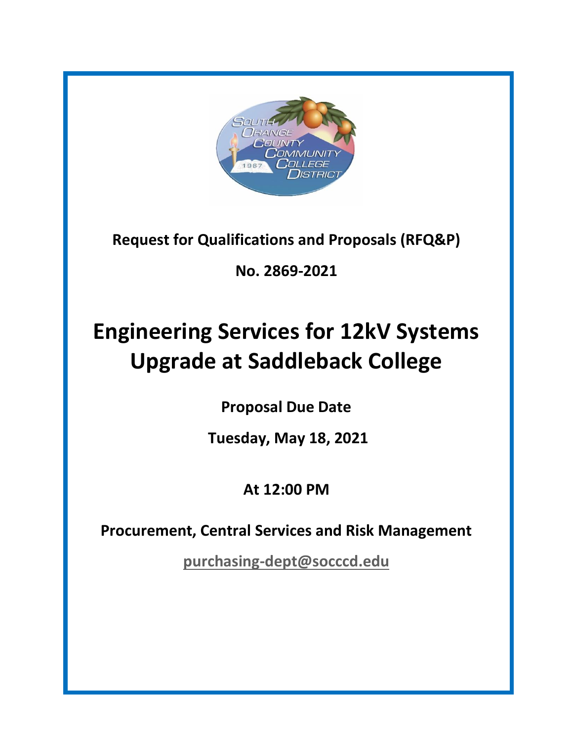

**Request for Qualifications and Proposals (RFQ&P)**

**No. 2869-2021**

# **Engineering Services for 12kV Systems Upgrade at Saddleback College**

**Proposal Due Date**

**Tuesday, May 18, 2021**

**At 12:00 PM**

**Procurement, Central Services and Risk Management**

**[purchasing-dept@socccd.edu](mailto:purchasing-dept@socccd.edu)**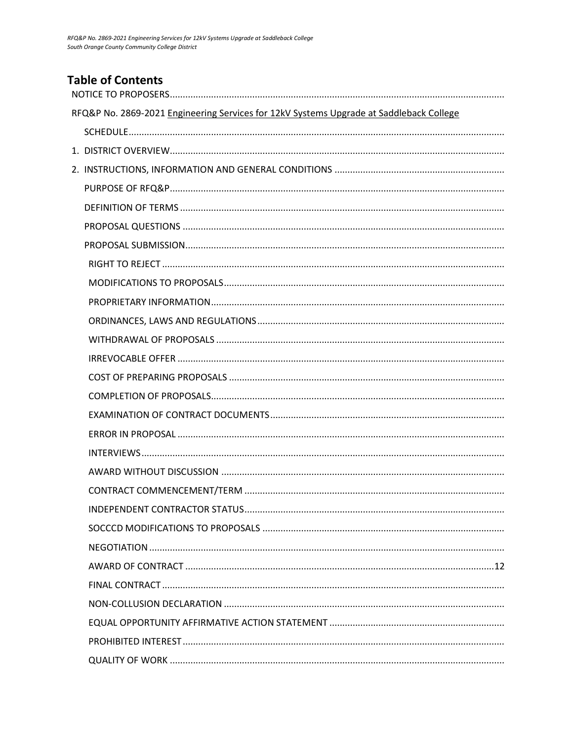# **Table of Contents**

| RFQ&P No. 2869-2021 Engineering Services for 12kV Systems Upgrade at Saddleback College |
|-----------------------------------------------------------------------------------------|
|                                                                                         |
|                                                                                         |
|                                                                                         |
|                                                                                         |
|                                                                                         |
|                                                                                         |
|                                                                                         |
|                                                                                         |
|                                                                                         |
|                                                                                         |
|                                                                                         |
|                                                                                         |
|                                                                                         |
|                                                                                         |
|                                                                                         |
|                                                                                         |
|                                                                                         |
|                                                                                         |
|                                                                                         |
|                                                                                         |
|                                                                                         |
|                                                                                         |
|                                                                                         |
|                                                                                         |
|                                                                                         |
|                                                                                         |
|                                                                                         |
|                                                                                         |
|                                                                                         |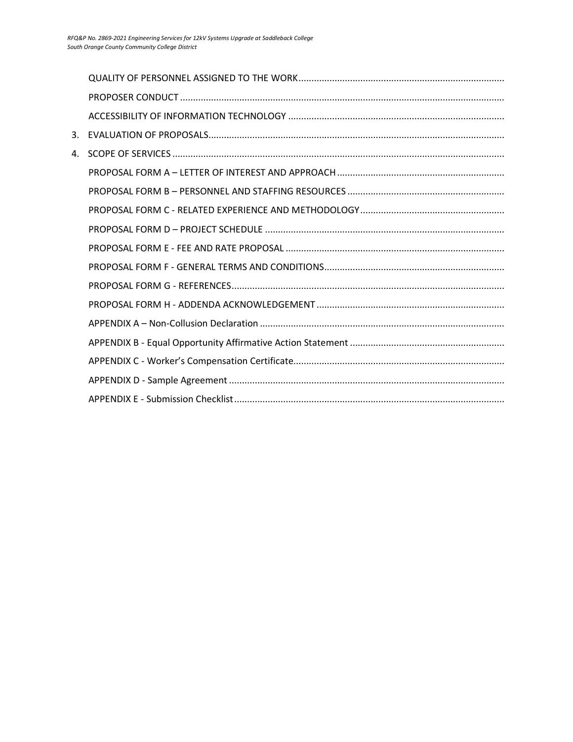| 4. |  |
|----|--|
|    |  |
|    |  |
|    |  |
|    |  |
|    |  |
|    |  |
|    |  |
|    |  |
|    |  |
|    |  |
|    |  |
|    |  |
|    |  |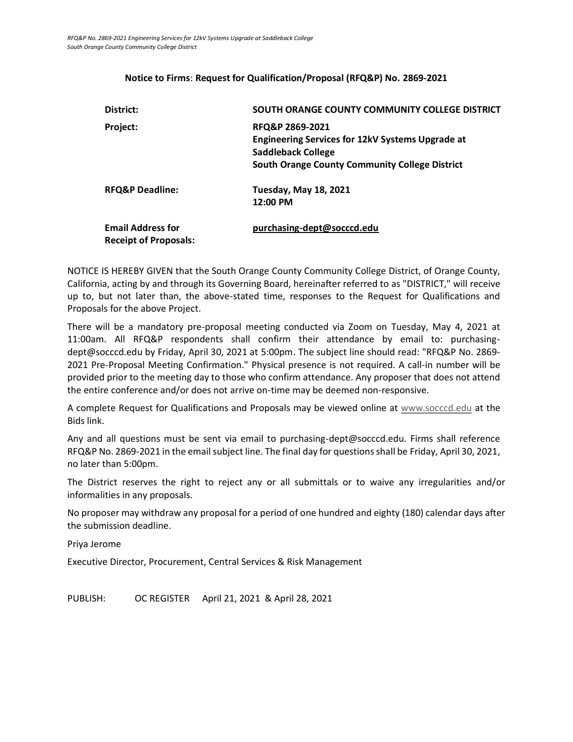#### **Notice to Firms**: **Request for Qualification/Proposal (RFQ&P) No. 2869-2021**

<span id="page-3-0"></span>

| District:                                                | SOUTH ORANGE COUNTY COMMUNITY COLLEGE DISTRICT                                                                                                            |
|----------------------------------------------------------|-----------------------------------------------------------------------------------------------------------------------------------------------------------|
| Project:                                                 | RFQ&P 2869-2021<br><b>Engineering Services for 12kV Systems Upgrade at</b><br>Saddleback College<br><b>South Orange County Community College District</b> |
| <b>RFQ&amp;P Deadline:</b>                               | <b>Tuesday, May 18, 2021</b><br>12:00 PM                                                                                                                  |
| <b>Email Address for</b><br><b>Receipt of Proposals:</b> | purchasing-dept@socccd.edu                                                                                                                                |

NOTICE IS HEREBY GIVEN that the South Orange County Community College District, of Orange County, California, acting by and through its Governing Board, hereinafter referred to as "DISTRICT," will receive up to, but not later than, the above-stated time, responses to the Request for Qualifications and Proposals for the above Project.

There will be a mandatory pre-proposal meeting conducted via Zoom on Tuesday, May 4, 2021 at 11:00am. All RFQ&P respondents shall confirm their attendance by email to: purchasingdept@socccd.edu by Friday, April 30, 2021 at 5:00pm. The subject line should read: "RFQ&P No. 2869- 2021 Pre-Proposal Meeting Confirmation." Physical presence is not required. A call-in number will be provided prior to the meeting day to those who confirm attendance. Any proposer that does not attend the entire conference and/or does not arrive on-time may be deemed non-responsive.

A complete Request for Qualifications and Proposals may be viewed online at [www.socccd.edu](http://www.socccd.edu/) at the Bids link.

Any and all questions must be sent via email to purchasing-dept@socccd.edu. Firms shall reference RFQ&P No. 2869-2021 in the email subject line. The final day for questions shall be Friday, April 30, 2021, no later than 5:00pm.

The District reserves the right to reject any or all submittals or to waive any irregularities and/or informalities in any proposals.

No proposer may withdraw any proposal for a period of one hundred and eighty (180) calendar days after the submission deadline.

Priya Jerome

Executive Director, Procurement, Central Services & Risk Management

<span id="page-3-1"></span>PUBLISH: OC REGISTER April 21, 2021 & April 28, 2021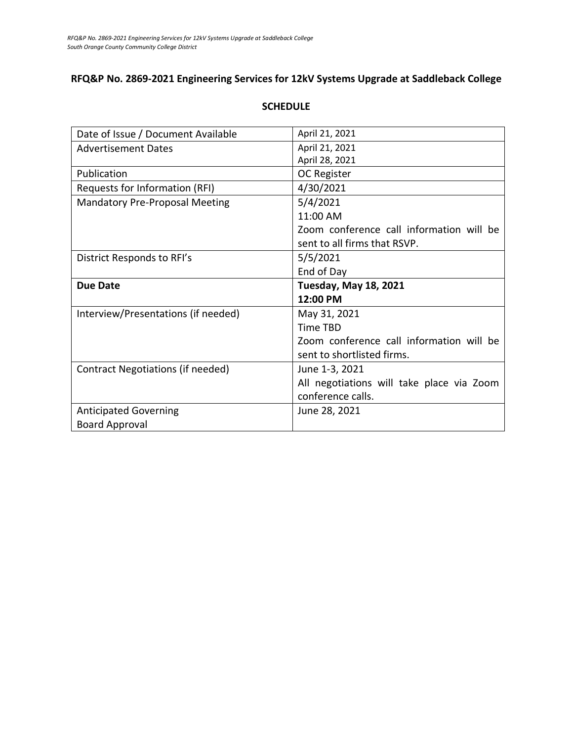# **RFQ&P No. 2869-2021 Engineering Services for 12kV Systems Upgrade at Saddleback College**

| Date of Issue / Document Available       | April 21, 2021                            |
|------------------------------------------|-------------------------------------------|
| <b>Advertisement Dates</b>               | April 21, 2021                            |
|                                          | April 28, 2021                            |
| Publication                              | OC Register                               |
| Requests for Information (RFI)           | 4/30/2021                                 |
| <b>Mandatory Pre-Proposal Meeting</b>    | 5/4/2021                                  |
|                                          | 11:00 AM                                  |
|                                          | Zoom conference call information will be  |
|                                          | sent to all firms that RSVP.              |
| District Responds to RFI's               | 5/5/2021                                  |
|                                          | End of Day                                |
|                                          |                                           |
| <b>Due Date</b>                          | <b>Tuesday, May 18, 2021</b>              |
|                                          | 12:00 PM                                  |
| Interview/Presentations (if needed)      | May 31, 2021                              |
|                                          | Time TBD                                  |
|                                          | Zoom conference call information will be  |
|                                          | sent to shortlisted firms.                |
| <b>Contract Negotiations (if needed)</b> | June 1-3, 2021                            |
|                                          | All negotiations will take place via Zoom |
|                                          | conference calls.                         |
| <b>Anticipated Governing</b>             | June 28, 2021                             |

#### **SCHEDULE**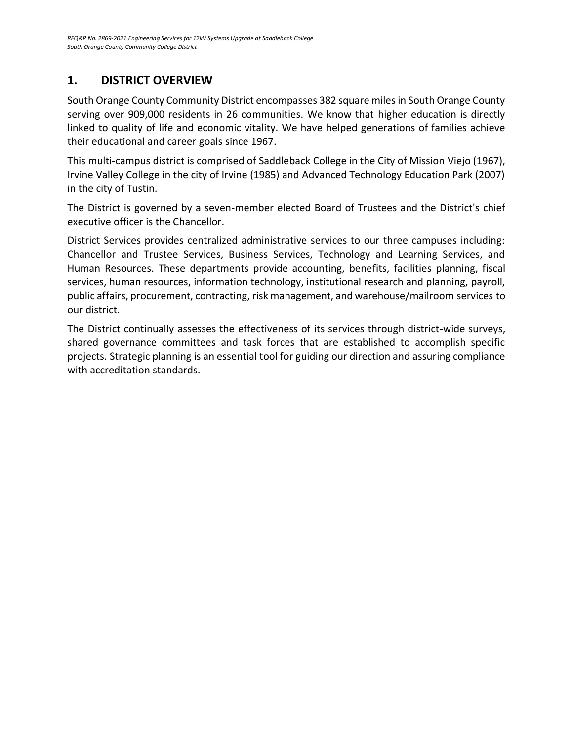# <span id="page-5-0"></span>**1. DISTRICT OVERVIEW**

South Orange County Community District encompasses 382 square miles in South Orange County serving over 909,000 residents in 26 communities. We know that higher education is directly linked to quality of life and economic vitality. We have helped generations of families achieve their educational and career goals since 1967.

This multi-campus district is comprised of Saddleback College in the City of Mission Viejo (1967), Irvine Valley College in the city of Irvine (1985) and Advanced Technology Education Park (2007) in the city of Tustin.

The District is governed by a seven-member elected Board of Trustees and the District's chief executive officer is the Chancellor.

District Services provides centralized administrative services to our three campuses including: Chancellor and Trustee Services, Business Services, Technology and Learning Services, and Human Resources. These departments provide accounting, benefits, facilities planning, fiscal services, human resources, information technology, institutional research and planning, payroll, public affairs, procurement, contracting, risk management, and warehouse/mailroom services to our district.

The District continually assesses the effectiveness of its services through district-wide surveys, shared governance committees and task forces that are established to accomplish specific projects. Strategic planning is an essential tool for guiding our direction and assuring compliance with accreditation standards.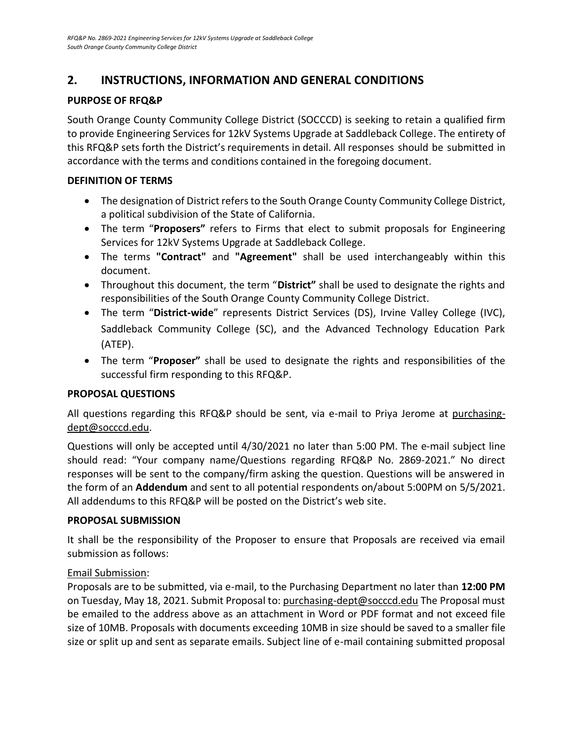# <span id="page-6-0"></span>**2. INSTRUCTIONS, INFORMATION AND GENERAL CONDITIONS**

# <span id="page-6-1"></span>**PURPOSE OF RFQ&P**

South Orange County Community College District (SOCCCD) is seeking to retain a qualified firm to provide Engineering Services for 12kV Systems Upgrade at Saddleback College. The entirety of this RFQ&P sets forth the District's requirements in detail. All responses should be submitted in accordance with the terms and conditions contained in the foregoing document.

#### <span id="page-6-2"></span>**DEFINITION OF TERMS**

- The designation of District refers to the South Orange County Community College District, a political subdivision of the State of California.
- The term "**Proposers"** refers to Firms that elect to submit proposals for Engineering Services for 12kV Systems Upgrade at Saddleback College.
- The terms **"Contract"** and **"Agreement"** shall be used interchangeably within this document.
- Throughout this document, the term "**District"** shall be used to designate the rights and responsibilities of the South Orange County Community College District.
- The term "**District-wide**" represents District Services (DS), Irvine Valley College (IVC), Saddleback Community College (SC), and the Advanced Technology Education Park (ATEP).
- <span id="page-6-4"></span>• The term "**Proposer"** shall be used to designate the rights and responsibilities of the successful firm responding to this RFQ&P.

## <span id="page-6-3"></span>**PROPOSAL QUESTIONS**

All questions regarding this RFQ&P should be sent, via e-mail to Priya Jerome at purchasingdept@socccd.edu.

Questions will only be accepted until 4/30/2021 no later than 5:00 PM. The e-mail subject line should read: "Your company name/Questions regarding RFQ&P No. 2869-2021." No direct responses will be sent to the company/firm asking the question. Questions will be answered in the form of an **Addendum** and sent to all potential respondents on/about 5:00PM on 5/5/2021. All addendums to this RFQ&P will be posted on the District's web site.

#### **PROPOSAL SUBMISSION**

It shall be the responsibility of the Proposer to ensure that Proposals are received via email submission as follows:

## Email Submission:

Proposals are to be submitted, via e-mail, to the Purchasing Department no later than **12:00 PM** on Tuesday, May 18, 2021. Submit Proposal to: [purchasing-dept@socccd.edu](mailto:purchasing-dept@socccd.edu) The Proposal must be emailed to the address above as an attachment in Word or PDF format and not exceed file size of 10MB. Proposals with documents exceeding 10MB in size should be saved to a smaller file size or split up and sent as separate emails. Subject line of e-mail containing submitted proposal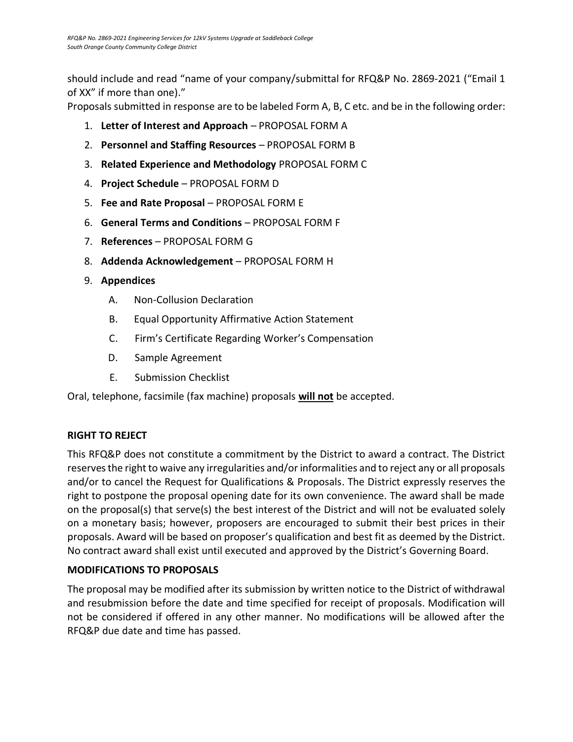should include and read "name of your company/submittal for RFQ&P No. 2869-2021 ("Email 1 of XX" if more than one)."

Proposals submitted in response are to be labeled Form A, B, C etc. and be in the following order:

- 1. **Letter of Interest and Approach** PROPOSAL FORM A
- 2. **Personnel and Staffing Resources** PROPOSAL FORM B
- 3. **Related Experience and Methodology** PROPOSAL FORM C
- 4. **Project Schedule** PROPOSAL FORM D
- 5. **Fee and Rate Proposal** PROPOSAL FORM E
- 6. **General Terms and Conditions** PROPOSAL FORM F
- 7. **References** PROPOSAL FORM G
- 8. **Addenda Acknowledgement** PROPOSAL FORM H
- 9. **Appendices**
	- A. Non-Collusion Declaration
	- B. Equal Opportunity Affirmative Action Statement
	- C. Firm's Certificate Regarding Worker's Compensation
	- D. Sample Agreement
	- E. Submission Checklist

<span id="page-7-0"></span>Oral, telephone, facsimile (fax machine) proposals **will not** be accepted.

# **RIGHT TO REJECT**

This RFQ&P does not constitute a commitment by the District to award a contract. The District reserves the right to waive any irregularities and/or informalities and to reject any or all proposals and/or to cancel the Request for Qualifications & Proposals. The District expressly reserves the right to postpone the proposal opening date for its own convenience. The award shall be made on the proposal(s) that serve(s) the best interest of the District and will not be evaluated solely on a monetary basis; however, proposers are encouraged to submit their best prices in their proposals. Award will be based on proposer's qualification and best fit as deemed by the District. No contract award shall exist until executed and approved by the District's Governing Board.

## <span id="page-7-1"></span>**MODIFICATIONS TO PROPOSALS**

The proposal may be modified after its submission by written notice to the District of withdrawal and resubmission before the date and time specified for receipt of proposals. Modification will not be considered if offered in any other manner. No modifications will be allowed after the RFQ&P due date and time has passed.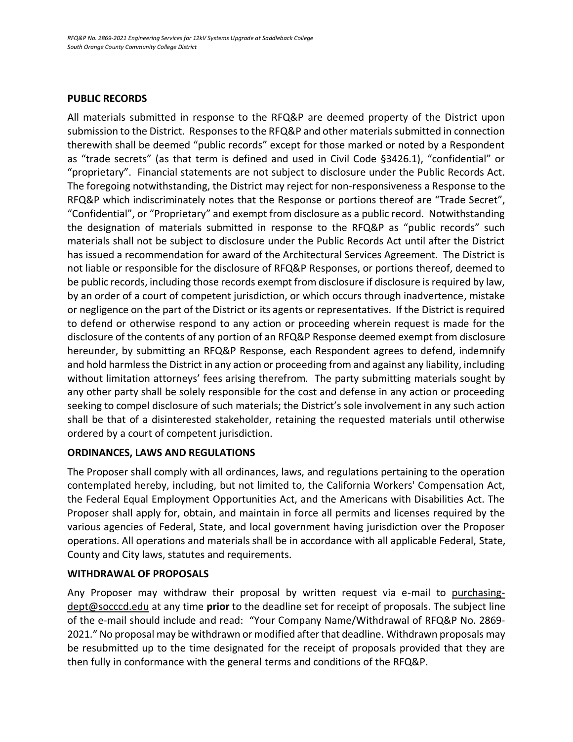#### **PUBLIC RECORDS**

All materials submitted in response to the RFQ&P are deemed property of the District upon submission to the District. Responses to the RFQ&P and other materials submitted in connection therewith shall be deemed "public records" except for those marked or noted by a Respondent as "trade secrets" (as that term is defined and used in Civil Code §3426.1), "confidential" or "proprietary". Financial statements are not subject to disclosure under the Public Records Act. The foregoing notwithstanding, the District may reject for non-responsiveness a Response to the RFQ&P which indiscriminately notes that the Response or portions thereof are "Trade Secret", "Confidential", or "Proprietary" and exempt from disclosure as a public record. Notwithstanding the designation of materials submitted in response to the RFQ&P as "public records" such materials shall not be subject to disclosure under the Public Records Act until after the District has issued a recommendation for award of the Architectural Services Agreement. The District is not liable or responsible for the disclosure of RFQ&P Responses, or portions thereof, deemed to be public records, including those records exempt from disclosure if disclosure is required by law, by an order of a court of competent jurisdiction, or which occurs through inadvertence, mistake or negligence on the part of the District or its agents or representatives. If the District is required to defend or otherwise respond to any action or proceeding wherein request is made for the disclosure of the contents of any portion of an RFQ&P Response deemed exempt from disclosure hereunder, by submitting an RFQ&P Response, each Respondent agrees to defend, indemnify and hold harmless the District in any action or proceeding from and against any liability, including without limitation attorneys' fees arising therefrom. The party submitting materials sought by any other party shall be solely responsible for the cost and defense in any action or proceeding seeking to compel disclosure of such materials; the District's sole involvement in any such action shall be that of a disinterested stakeholder, retaining the requested materials until otherwise ordered by a court of competent jurisdiction.

#### <span id="page-8-0"></span>**ORDINANCES, LAWS AND REGULATIONS**

The Proposer shall comply with all ordinances, laws, and regulations pertaining to the operation contemplated hereby, including, but not limited to, the California Workers' Compensation Act, the Federal Equal Employment Opportunities Act, and the Americans with Disabilities Act. The Proposer shall apply for, obtain, and maintain in force all permits and licenses required by the various agencies of Federal, State, and local government having jurisdiction over the Proposer operations. All operations and materials shall be in accordance with all applicable Federal, State, County and City laws, statutes and requirements.

#### <span id="page-8-1"></span>**WITHDRAWAL OF PROPOSALS**

<span id="page-8-2"></span>Any Proposer may withdraw their proposal by written request via e-mail to purchasingdept@socccd.edu at any time **prior** to the deadline set for receipt of proposals. The subject line of the e-mail should include and read: "Your Company Name/Withdrawal of RFQ&P No. 2869- 2021." No proposal may be withdrawn or modified after that deadline. Withdrawn proposals may be resubmitted up to the time designated for the receipt of proposals provided that they are then fully in conformance with the general terms and conditions of the RFQ&P.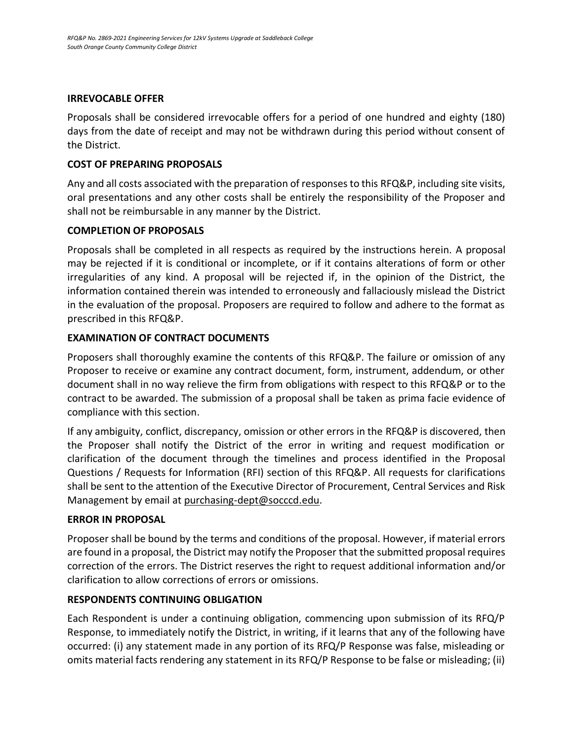#### **IRREVOCABLE OFFER**

Proposals shall be considered irrevocable offers for a period of one hundred and eighty (180) days from the date of receipt and may not be withdrawn during this period without consent of the District.

#### <span id="page-9-0"></span>**COST OF PREPARING PROPOSALS**

Any and all costs associated with the preparation of responses to this RFQ&P, including site visits, oral presentations and any other costs shall be entirely the responsibility of the Proposer and shall not be reimbursable in any manner by the District.

#### **COMPLETION OF PROPOSALS**

Proposals shall be completed in all respects as required by the instructions herein. A proposal may be rejected if it is conditional or incomplete, or if it contains alterations of form or other irregularities of any kind. A proposal will be rejected if, in the opinion of the District, the information contained therein was intended to erroneously and fallaciously mislead the District in the evaluation of the proposal. Proposers are required to follow and adhere to the format as prescribed in this RFQ&P.

#### **EXAMINATION OF CONTRACT DOCUMENTS**

Proposers shall thoroughly examine the contents of this RFQ&P. The failure or omission of any Proposer to receive or examine any contract document, form, instrument, addendum, or other document shall in no way relieve the firm from obligations with respect to this RFQ&P or to the contract to be awarded. The submission of a proposal shall be taken as prima facie evidence of compliance with this section.

If any ambiguity, conflict, discrepancy, omission or other errors in the RFQ&P is discovered, then the Proposer shall notify the District of the error in writing and request modification or clarification of the document through the timelines and process identified in the Proposal Questions / Requests for Information (RFI) section of this RFQ&P. All requests for clarifications shall be sent to the attention of the Executive Director of Procurement, Central Services and Risk Management by email a[t purchasing-dept@socccd.edu.](mailto:purchasing-dept@socccd.edu)

#### **ERROR IN PROPOSAL**

Proposer shall be bound by the terms and conditions of the proposal. However, if material errors are found in a proposal, the District may notify the Proposer that the submitted proposal requires correction of the errors. The District reserves the right to request additional information and/or clarification to allow corrections of errors or omissions.

#### **RESPONDENTS CONTINUING OBLIGATION**

Each Respondent is under a continuing obligation, commencing upon submission of its RFQ/P Response, to immediately notify the District, in writing, if it learns that any of the following have occurred: (i) any statement made in any portion of its RFQ/P Response was false, misleading or omits material facts rendering any statement in its RFQ/P Response to be false or misleading; (ii)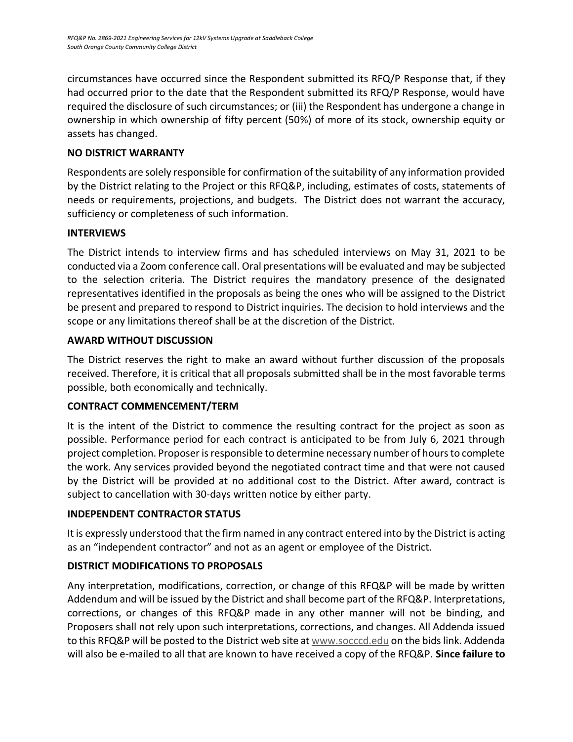circumstances have occurred since the Respondent submitted its RFQ/P Response that, if they had occurred prior to the date that the Respondent submitted its RFQ/P Response, would have required the disclosure of such circumstances; or (iii) the Respondent has undergone a change in ownership in which ownership of fifty percent (50%) of more of its stock, ownership equity or assets has changed.

## **NO DISTRICT WARRANTY**

Respondents are solely responsible for confirmation of the suitability of any information provided by the District relating to the Project or this RFQ&P, including, estimates of costs, statements of needs or requirements, projections, and budgets. The District does not warrant the accuracy, sufficiency or completeness of such information.

## <span id="page-10-0"></span>**INTERVIEWS**

The District intends to interview firms and has scheduled interviews on May 31, 2021 to be conducted via a Zoom conference call. Oral presentations will be evaluated and may be subjected to the selection criteria. The District requires the mandatory presence of the designated representatives identified in the proposals as being the ones who will be assigned to the District be present and prepared to respond to District inquiries. The decision to hold interviews and the scope or any limitations thereof shall be at the discretion of the District.

## <span id="page-10-1"></span>**AWARD WITHOUT DISCUSSION**

The District reserves the right to make an award without further discussion of the proposals received. Therefore, it is critical that all proposals submitted shall be in the most favorable terms possible, both economically and technically.

## <span id="page-10-2"></span>**CONTRACT COMMENCEMENT/TERM**

It is the intent of the District to commence the resulting contract for the project as soon as possible. Performance period for each contract is anticipated to be from July 6, 2021 through project completion. Proposer is responsible to determine necessary number of hours to complete the work. Any services provided beyond the negotiated contract time and that were not caused by the District will be provided at no additional cost to the District. After award, contract is subject to cancellation with 30-days written notice by either party.

## **INDEPENDENT CONTRACTOR STATUS**

It is expressly understood that the firm named in any contract entered into by the District is acting as an "independent contractor" and not as an agent or employee of the District.

## <span id="page-10-3"></span>**DISTRICT MODIFICATIONS TO PROPOSALS**

Any interpretation, modifications, correction, or change of this RFQ&P will be made by written Addendum and will be issued by the District and shall become part of the RFQ&P. Interpretations, corrections, or changes of this RFQ&P made in any other manner will not be binding, and Proposers shall not rely upon such interpretations, corrections, and changes. All Addenda issued to this RFQ&P will be posted to the District web site at [www.socccd.edu](http://www.socccd.edu/) on the bids link. Addenda will also be e-mailed to all that are known to have received a copy of the RFQ&P. **Since failure to**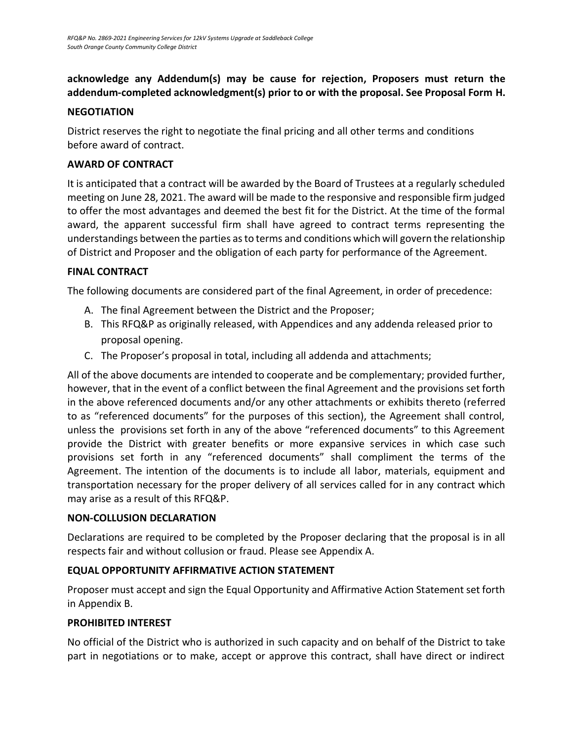# <span id="page-11-0"></span>**acknowledge any Addendum(s) may be cause for rejection, Proposers must return the addendum-completed acknowledgment(s) prior to or with the proposal. See Proposal Form H.**

#### **NEGOTIATION**

<span id="page-11-1"></span>District reserves the right to negotiate the final pricing and all other terms and conditions before award of contract.

#### **AWARD OF CONTRACT**

It is anticipated that a contract will be awarded by the Board of Trustees at a regularly scheduled meeting on June 28, 2021. The award will be made to the responsive and responsible firm judged to offer the most advantages and deemed the best fit for the District. At the time of the formal award, the apparent successful firm shall have agreed to contract terms representing the understandings between the parties as to terms and conditions which will govern the relationship of District and Proposer and the obligation of each party for performance of the Agreement.

#### <span id="page-11-2"></span>**FINAL CONTRACT**

The following documents are considered part of the final Agreement, in order of precedence:

- A. The final Agreement between the District and the Proposer;
- B. This RFQ&P as originally released, with Appendices and any addenda released prior to proposal opening.
- C. The Proposer's proposal in total, including all addenda and attachments;

All of the above documents are intended to cooperate and be complementary; provided further, however, that in the event of a conflict between the final Agreement and the provisions set forth in the above referenced documents and/or any other attachments or exhibits thereto (referred to as "referenced documents" for the purposes of this section), the Agreement shall control, unless the provisions set forth in any of the above "referenced documents" to this Agreement provide the District with greater benefits or more expansive services in which case such provisions set forth in any "referenced documents" shall compliment the terms of the Agreement. The intention of the documents is to include all labor, materials, equipment and transportation necessary for the proper delivery of all services called for in any contract which may arise as a result of this RFQ&P.

#### **NON-COLLUSION DECLARATION**

Declarations are required to be completed by the Proposer declaring that the proposal is in all respects fair and without collusion or fraud. Please see Appendix A.

## <span id="page-11-3"></span>**EQUAL OPPORTUNITY AFFIRMATIVE ACTION STATEMENT**

Proposer must accept and sign the Equal Opportunity and Affirmative Action Statement set forth in Appendix B.

## <span id="page-11-4"></span>**PROHIBITED INTEREST**

No official of the District who is authorized in such capacity and on behalf of the District to take part in negotiations or to make, accept or approve this contract, shall have direct or indirect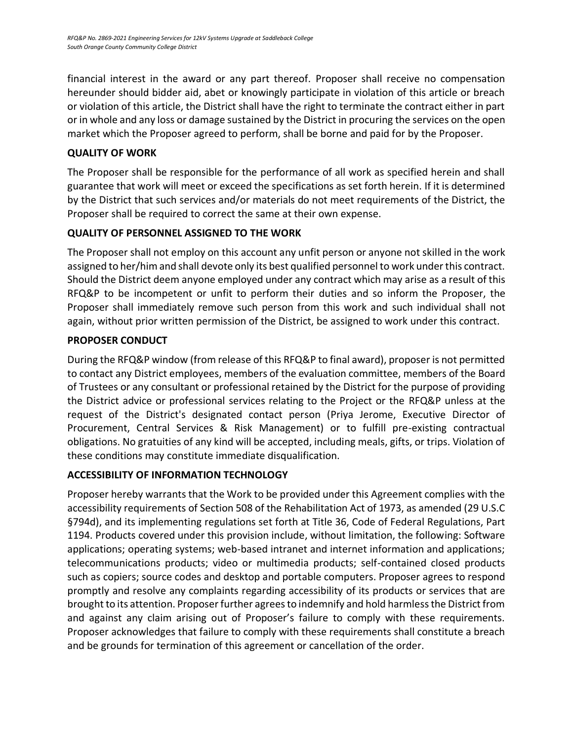financial interest in the award or any part thereof. Proposer shall receive no compensation hereunder should bidder aid, abet or knowingly participate in violation of this article or breach or violation of this article, the District shall have the right to terminate the contract either in part or in whole and any loss or damage sustained by the District in procuring the services on the open market which the Proposer agreed to perform, shall be borne and paid for by the Proposer.

# <span id="page-12-0"></span>**QUALITY OF WORK**

The Proposer shall be responsible for the performance of all work as specified herein and shall guarantee that work will meet or exceed the specifications as set forth herein. If it is determined by the District that such services and/or materials do not meet requirements of the District, the Proposer shall be required to correct the same at their own expense.

## <span id="page-12-1"></span>**QUALITY OF PERSONNEL ASSIGNED TO THE WORK**

<span id="page-12-2"></span>The Proposer shall not employ on this account any unfit person or anyone not skilled in the work assigned to her/him and shall devote only its best qualified personnel to work under this contract. Should the District deem anyone employed under any contract which may arise as a result of this RFQ&P to be incompetent or unfit to perform their duties and so inform the Proposer, the Proposer shall immediately remove such person from this work and such individual shall not again, without prior written permission of the District, be assigned to work under this contract.

# **PROPOSER CONDUCT**

<span id="page-12-3"></span>During the RFQ&P window (from release of this RFQ&P to final award), proposer is not permitted to contact any District employees, members of the evaluation committee, members of the Board of Trustees or any consultant or professional retained by the District for the purpose of providing the District advice or professional services relating to the Project or the RFQ&P unless at the request of the District's designated contact person (Priya Jerome, Executive Director of Procurement, Central Services & Risk Management) or to fulfill pre-existing contractual obligations. No gratuities of any kind will be accepted, including meals, gifts, or trips. Violation of these conditions may constitute immediate disqualification.

## **ACCESSIBILITY OF INFORMATION TECHNOLOGY**

Proposer hereby warrants that the Work to be provided under this Agreement complies with the accessibility requirements of Section 508 of the Rehabilitation Act of 1973, as amended (29 U.S.C §794d), and its implementing regulations set forth at Title 36, Code of Federal Regulations, Part 1194. Products covered under this provision include, without limitation, the following: Software applications; operating systems; web-based intranet and internet information and applications; telecommunications products; video or multimedia products; self-contained closed products such as copiers; source codes and desktop and portable computers. Proposer agrees to respond promptly and resolve any complaints regarding accessibility of its products or services that are brought to its attention. Proposer further agrees to indemnify and hold harmless the District from and against any claim arising out of Proposer's failure to comply with these requirements. Proposer acknowledges that failure to comply with these requirements shall constitute a breach and be grounds for termination of this agreement or cancellation of the order.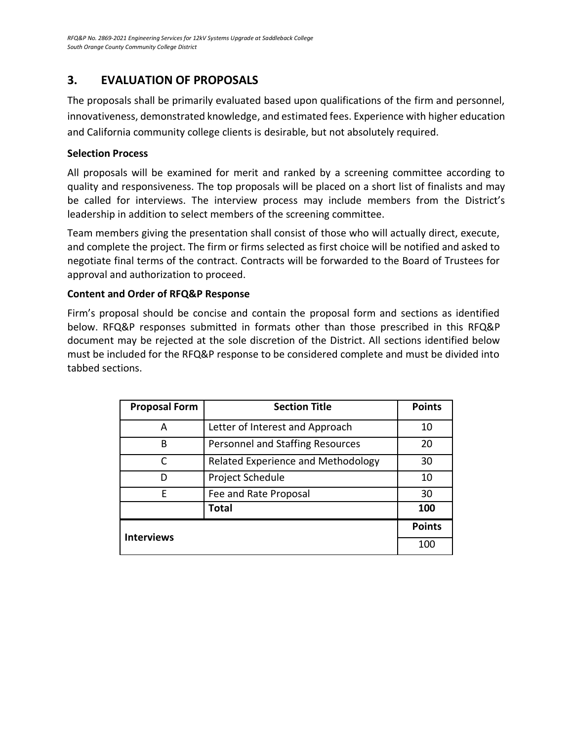# **3. EVALUATION OF PROPOSALS**

The proposals shall be primarily evaluated based upon qualifications of the firm and personnel, innovativeness, demonstrated knowledge, and estimated fees. Experience with higher education and California community college clients is desirable, but not absolutely required.

## **Selection Process**

All proposals will be examined for merit and ranked by a screening committee according to quality and responsiveness. The top proposals will be placed on a short list of finalists and may be called for interviews. The interview process may include members from the District's leadership in addition to select members of the screening committee.

Team members giving the presentation shall consist of those who will actually direct, execute, and complete the project. The firm or firms selected as first choice will be notified and asked to negotiate final terms of the contract. Contracts will be forwarded to the Board of Trustees for approval and authorization to proceed.

## **Content and Order of RFQ&P Response**

Firm's proposal should be concise and contain the proposal form and sections as identified below. RFQ&P responses submitted in formats other than those prescribed in this RFQ&P document may be rejected at the sole discretion of the District. All sections identified below must be included for the RFQ&P response to be considered complete and must be divided into tabbed sections.

| <b>Proposal Form</b> | <b>Section Title</b>               | <b>Points</b> |
|----------------------|------------------------------------|---------------|
| A                    | Letter of Interest and Approach    | 10            |
| B                    | Personnel and Staffing Resources   | 20            |
| C                    | Related Experience and Methodology | 30            |
| D                    | Project Schedule                   | 10            |
| F                    | Fee and Rate Proposal              | 30            |
|                      | <b>Total</b>                       | 100           |
|                      |                                    | <b>Points</b> |
| <b>Interviews</b>    |                                    | 100           |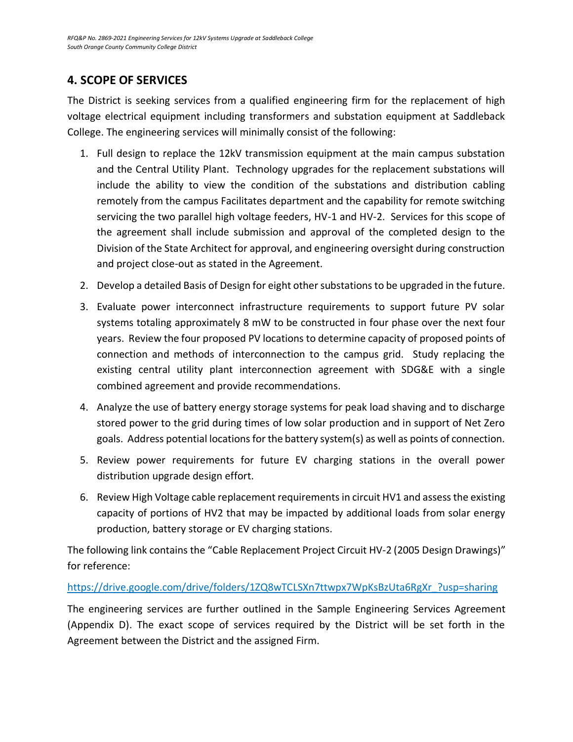# <span id="page-14-0"></span>**4. SCOPE OF SERVICES**

The District is seeking services from a qualified engineering firm for the replacement of high voltage electrical equipment including transformers and substation equipment at Saddleback College. The engineering services will minimally consist of the following:

- 1. Full design to replace the 12kV transmission equipment at the main campus substation and the Central Utility Plant. Technology upgrades for the replacement substations will include the ability to view the condition of the substations and distribution cabling remotely from the campus Facilitates department and the capability for remote switching servicing the two parallel high voltage feeders, HV-1 and HV-2. Services for this scope of the agreement shall include submission and approval of the completed design to the Division of the State Architect for approval, and engineering oversight during construction and project close-out as stated in the Agreement.
- 2. Develop a detailed Basis of Design for eight other substations to be upgraded in the future.
- 3. Evaluate power interconnect infrastructure requirements to support future PV solar systems totaling approximately 8 mW to be constructed in four phase over the next four years. Review the four proposed PV locations to determine capacity of proposed points of connection and methods of interconnection to the campus grid. Study replacing the existing central utility plant interconnection agreement with SDG&E with a single combined agreement and provide recommendations.
- 4. Analyze the use of battery energy storage systems for peak load shaving and to discharge stored power to the grid during times of low solar production and in support of Net Zero goals. Address potential locations for the battery system(s) as well as points of connection.
- 5. Review power requirements for future EV charging stations in the overall power distribution upgrade design effort.
- 6. Review High Voltage cable replacement requirements in circuit HV1 and assess the existing capacity of portions of HV2 that may be impacted by additional loads from solar energy production, battery storage or EV charging stations.

The following link contains the "Cable Replacement Project Circuit HV-2 (2005 Design Drawings)" for reference:

## [https://drive.google.com/drive/folders/1ZQ8wTCLSXn7ttwpx7WpKsBzUta6RgXr\\_?usp=sharing](https://drive.google.com/drive/folders/1ZQ8wTCLSXn7ttwpx7WpKsBzUta6RgXr_?usp=sharing)

The engineering services are further outlined in the Sample Engineering Services Agreement (Appendix D). The exact scope of services required by the District will be set forth in the Agreement between the District and the assigned Firm.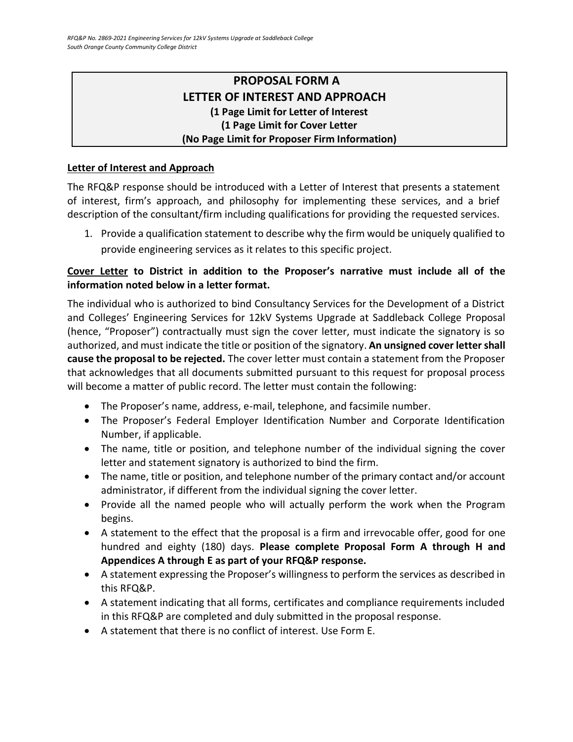# **PROPOSAL FORM A LETTER OF INTEREST AND APPROACH (1 Page Limit for Letter of Interest (1 Page Limit for Cover Letter (No Page Limit for Proposer Firm Information)**

## <span id="page-15-0"></span>**Letter of Interest and Approach**

The RFQ&P response should be introduced with a Letter of Interest that presents a statement of interest, firm's approach, and philosophy for implementing these services, and a brief description of the consultant/firm including qualifications for providing the requested services.

1. Provide a qualification statement to describe why the firm would be uniquely qualified to provide engineering services as it relates to this specific project.

## **Cover Letter to District in addition to the Proposer's narrative must include all of the information noted below in a letter format.**

The individual who is authorized to bind Consultancy Services for the Development of a District and Colleges' Engineering Services for 12kV Systems Upgrade at Saddleback College Proposal (hence, "Proposer") contractually must sign the cover letter, must indicate the signatory is so authorized, and must indicate the title or position of the signatory. **An unsigned cover letter shall cause the proposal to be rejected.** The cover letter must contain a statement from the Proposer that acknowledges that all documents submitted pursuant to this request for proposal process will become a matter of public record. The letter must contain the following:

- The Proposer's name, address, e-mail, telephone, and facsimile number.
- The Proposer's Federal Employer Identification Number and Corporate Identification Number, if applicable.
- The name, title or position, and telephone number of the individual signing the cover letter and statement signatory is authorized to bind the firm.
- The name, title or position, and telephone number of the primary contact and/or account administrator, if different from the individual signing the cover letter.
- Provide all the named people who will actually perform the work when the Program begins.
- A statement to the effect that the proposal is a firm and irrevocable offer, good for one hundred and eighty (180) days. **Please complete Proposal Form A through H and Appendices A through E as part of your RFQ&P response.**
- A statement expressing the Proposer's willingness to perform the services as described in this RFQ&P.
- A statement indicating that all forms, certificates and compliance requirements included in this RFQ&P are completed and duly submitted in the proposal response.
- A statement that there is no conflict of interest. Use Form E.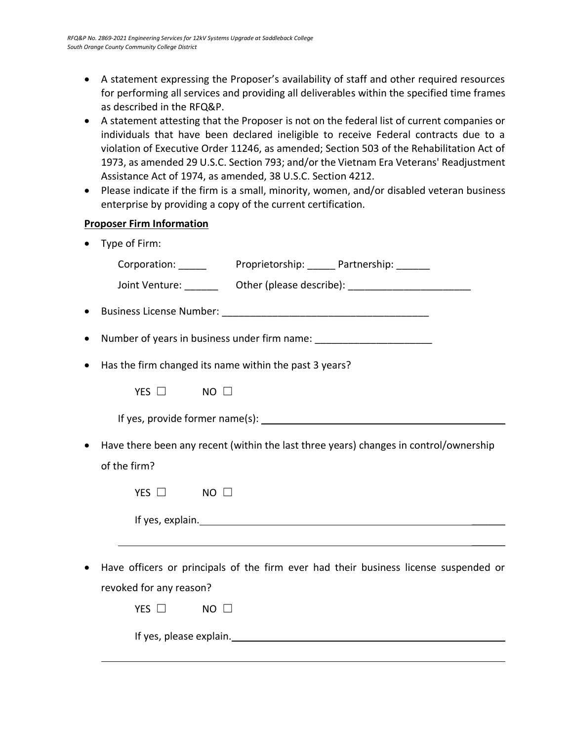- A statement expressing the Proposer's availability of staff and other required resources for performing all services and providing all deliverables within the specified time frames as described in the RFQ&P.
- A statement attesting that the Proposer is not on the federal list of current companies or individuals that have been declared ineligible to receive Federal contracts due to a violation of Executive Order 11246, as amended; Section 503 of the Rehabilitation Act of 1973, as amended 29 U.S.C. Section 793; and/or the Vietnam Era Veterans' Readjustment Assistance Act of 1974, as amended, 38 U.S.C. Section 4212.
- Please indicate if the firm is a small, minority, women, and/or disabled veteran business enterprise by providing a copy of the current certification.

## **Proposer Firm Information**

• Type of Firm:

|           | Joint Venture: __________  Other (please describe): ____________________________                      |
|-----------|-------------------------------------------------------------------------------------------------------|
| $\bullet$ |                                                                                                       |
| $\bullet$ | Number of years in business under firm name: ___________________________________                      |
|           | Has the firm changed its name within the past 3 years?                                                |
|           | YES $\Box$<br>$NO$ $\Box$                                                                             |
|           |                                                                                                       |
|           | Have there been any recent (within the last three years) changes in control/ownership<br>of the firm? |
|           | YES $\Box$<br>$NO$ $\Box$                                                                             |
|           |                                                                                                       |
|           | ,我们也不会有什么。""我们的人,我们也不会有什么?""我们的人,我们也不会有什么?""我们的人,我们也不会有什么?""我们的人,我们也不会有什么?""我们的人                      |
|           | Have officers or principals of the firm ever had their business license suspended or                  |
|           | revoked for any reason?                                                                               |
|           | YES $\Box$<br>$\blacksquare$ NO $\Box$                                                                |
|           |                                                                                                       |

If yes, please explain.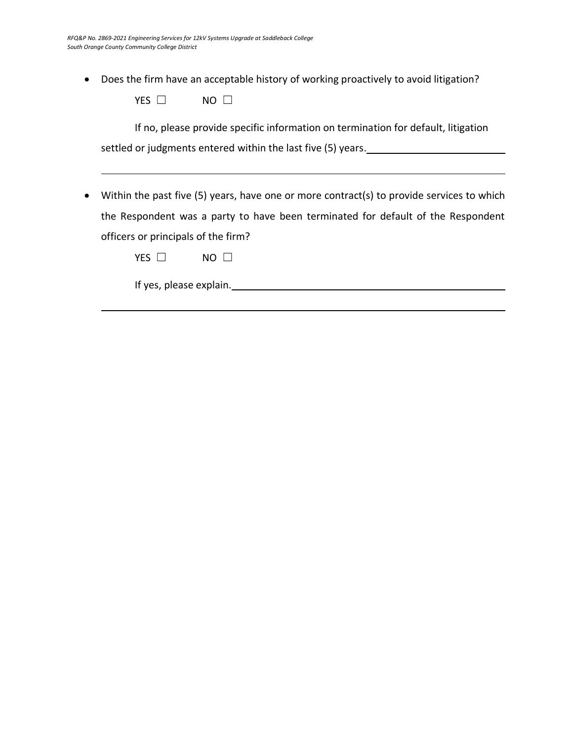• Does the firm have an acceptable history of working proactively to avoid litigation?

| YES | NΟ |  |
|-----|----|--|
|-----|----|--|

If no, please provide specific information on termination for default, litigation settled or judgments entered within the last five (5) years.

• Within the past five (5) years, have one or more contract(s) to provide services to which the Respondent was a party to have been terminated for default of the Respondent officers or principals of the firm?

If yes, please explain.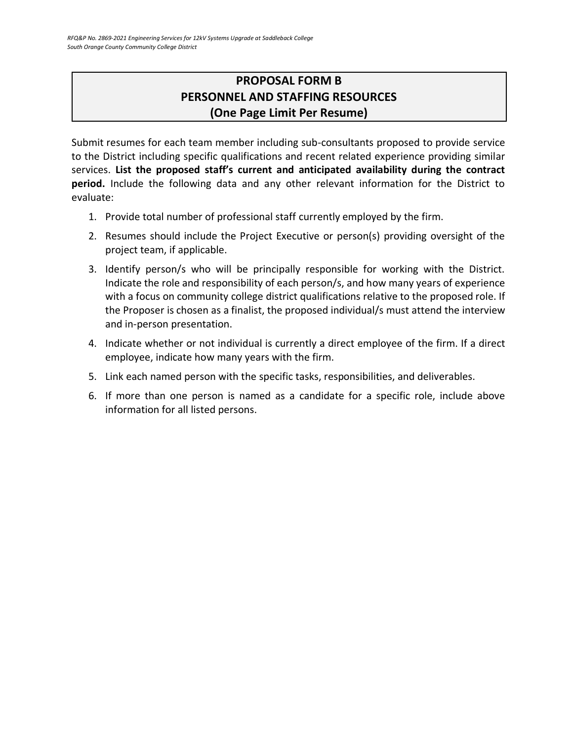# **PROPOSAL FORM B PERSONNEL AND STAFFING RESOURCES (One Page Limit Per Resume)**

<span id="page-18-0"></span>Submit resumes for each team member including sub-consultants proposed to provide service to the District including specific qualifications and recent related experience providing similar services. **List the proposed staff's current and anticipated availability during the contract period.** Include the following data and any other relevant information for the District to evaluate:

- 1. Provide total number of professional staff currently employed by the firm.
- 2. Resumes should include the Project Executive or person(s) providing oversight of the project team, if applicable.
- 3. Identify person/s who will be principally responsible for working with the District. Indicate the role and responsibility of each person/s, and how many years of experience with a focus on community college district qualifications relative to the proposed role. If the Proposer is chosen as a finalist, the proposed individual/s must attend the interview and in-person presentation.
- 4. Indicate whether or not individual is currently a direct employee of the firm. If a direct employee, indicate how many years with the firm.
- 5. Link each named person with the specific tasks, responsibilities, and deliverables.
- 6. If more than one person is named as a candidate for a specific role, include above information for all listed persons.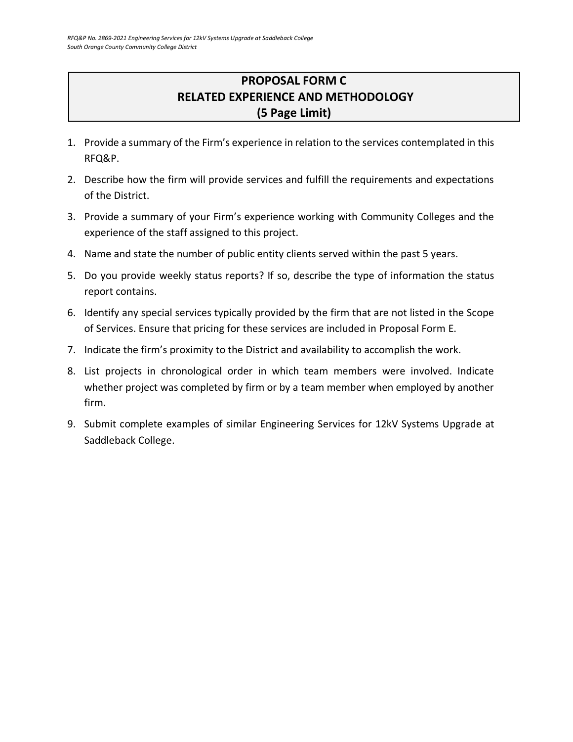# **PROPOSAL FORM C RELATED EXPERIENCE AND METHODOLOGY (5 Page Limit)**

- <span id="page-19-0"></span>1. Provide a summary of the Firm's experience in relation to the services contemplated in this RFQ&P.
- 2. Describe how the firm will provide services and fulfill the requirements and expectations of the District.
- 3. Provide a summary of your Firm's experience working with Community Colleges and the experience of the staff assigned to this project.
- 4. Name and state the number of public entity clients served within the past 5 years.
- 5. Do you provide weekly status reports? If so, describe the type of information the status report contains.
- 6. Identify any special services typically provided by the firm that are not listed in the Scope of Services. Ensure that pricing for these services are included in Proposal Form E.
- 7. Indicate the firm's proximity to the District and availability to accomplish the work.
- 8. List projects in chronological order in which team members were involved. Indicate whether project was completed by firm or by a team member when employed by another firm.
- 9. Submit complete examples of similar Engineering Services for 12kV Systems Upgrade at Saddleback College.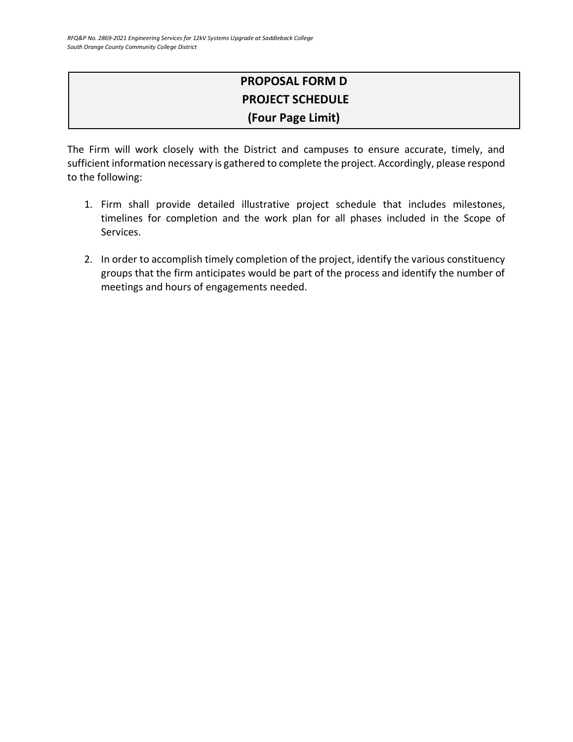# **PROPOSAL FORM D PROJECT SCHEDULE (Four Page Limit)**

The Firm will work closely with the District and campuses to ensure accurate, timely, and sufficient information necessary is gathered to complete the project. Accordingly, please respond to the following:

- 1. Firm shall provide detailed illustrative project schedule that includes milestones, timelines for completion and the work plan for all phases included in the Scope of Services.
- 2. In order to accomplish timely completion of the project, identify the various constituency groups that the firm anticipates would be part of the process and identify the number of meetings and hours of engagements needed.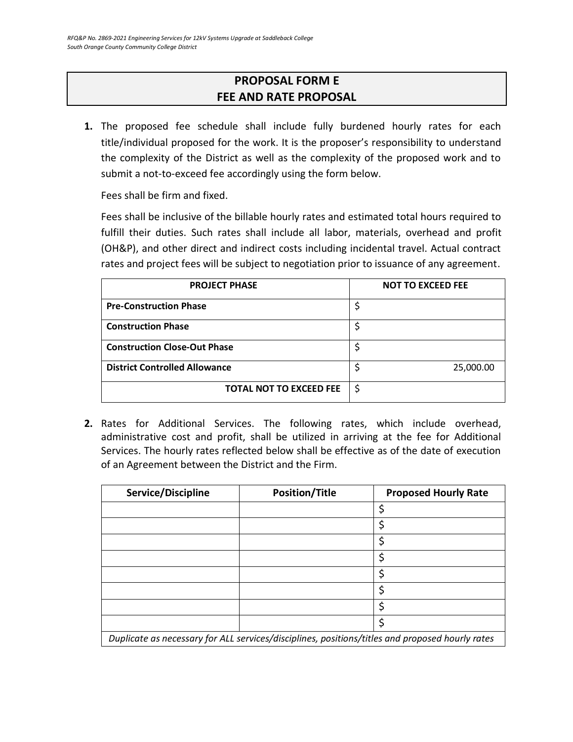# **PROPOSAL FORM E FEE AND RATE PROPOSAL**

<span id="page-21-0"></span>**1.** The proposed fee schedule shall include fully burdened hourly rates for each title/individual proposed for the work. It is the proposer's responsibility to understand the complexity of the District as well as the complexity of the proposed work and to submit a not-to-exceed fee accordingly using the form below.

Fees shall be firm and fixed.

Fees shall be inclusive of the billable hourly rates and estimated total hours required to fulfill their duties. Such rates shall include all labor, materials, overhead and profit (OH&P), and other direct and indirect costs including incidental travel. Actual contract rates and project fees will be subject to negotiation prior to issuance of any agreement.

| <b>PROJECT PHASE</b>                 | <b>NOT TO EXCEED FEE</b> |
|--------------------------------------|--------------------------|
| <b>Pre-Construction Phase</b>        |                          |
| <b>Construction Phase</b>            |                          |
| <b>Construction Close-Out Phase</b>  |                          |
| <b>District Controlled Allowance</b> | 25,000.00                |
| <b>TOTAL NOT TO EXCEED FEE</b>       | \$                       |

**2.** Rates for Additional Services. The following rates, which include overhead, administrative cost and profit, shall be utilized in arriving at the fee for Additional Services. The hourly rates reflected below shall be effective as of the date of execution of an Agreement between the District and the Firm.

| Service/Discipline                                                                              | <b>Position/Title</b> | <b>Proposed Hourly Rate</b> |
|-------------------------------------------------------------------------------------------------|-----------------------|-----------------------------|
|                                                                                                 |                       | \$                          |
|                                                                                                 |                       | \$                          |
|                                                                                                 |                       | \$                          |
|                                                                                                 |                       | \$                          |
|                                                                                                 |                       | ς                           |
|                                                                                                 |                       | \$                          |
|                                                                                                 |                       | Ś                           |
|                                                                                                 |                       | \$                          |
| Duplicate as necessary for ALL services/disciplines, positions/titles and proposed hourly rates |                       |                             |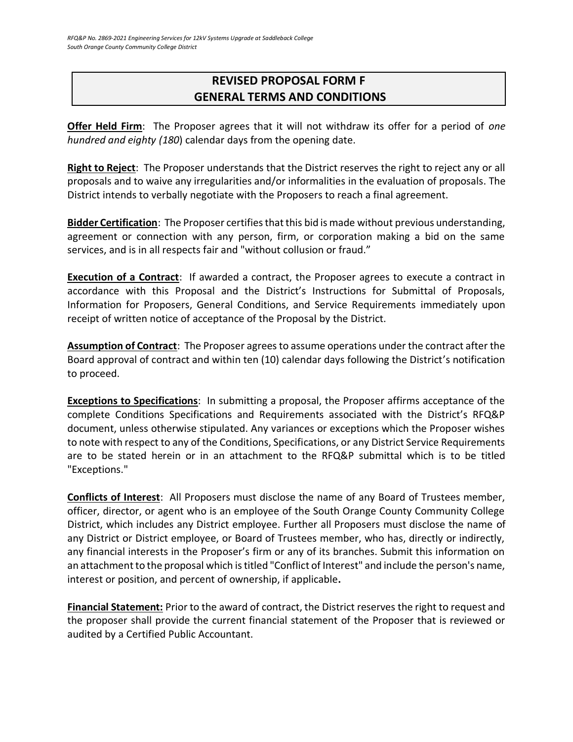# <span id="page-22-0"></span>**REVISED PROPOSAL FORM F GENERAL TERMS AND CONDITIONS**

**Offer Held Firm**: The Proposer agrees that it will not withdraw its offer for a period of *one hundred and eighty (180*) calendar days from the opening date.

**Right to Reject**: The Proposer understands that the District reserves the right to reject any or all proposals and to waive any irregularities and/or informalities in the evaluation of proposals. The District intends to verbally negotiate with the Proposers to reach a final agreement.

**Bidder Certification**: The Proposer certifies that this bid is made without previous understanding, agreement or connection with any person, firm, or corporation making a bid on the same services, and is in all respects fair and "without collusion or fraud."

**Execution of a Contract**: If awarded a contract, the Proposer agrees to execute a contract in accordance with this Proposal and the District's Instructions for Submittal of Proposals, Information for Proposers, General Conditions, and Service Requirements immediately upon receipt of written notice of acceptance of the Proposal by the District.

**Assumption of Contract**: The Proposer agrees to assume operations under the contract after the Board approval of contract and within ten (10) calendar days following the District's notification to proceed.

**Exceptions to Specifications**: In submitting a proposal, the Proposer affirms acceptance of the complete Conditions Specifications and Requirements associated with the District's RFQ&P document, unless otherwise stipulated. Any variances or exceptions which the Proposer wishes to note with respect to any of the Conditions, Specifications, or any District Service Requirements are to be stated herein or in an attachment to the RFQ&P submittal which is to be titled "Exceptions."

**Conflicts of Interest**: All Proposers must disclose the name of any Board of Trustees member, officer, director, or agent who is an employee of the South Orange County Community College District, which includes any District employee. Further all Proposers must disclose the name of any District or District employee, or Board of Trustees member, who has, directly or indirectly, any financial interests in the Proposer's firm or any of its branches. Submit this information on an attachment to the proposal which is titled "Conflict of Interest" and include the person's name, interest or position, and percent of ownership, if applicable**.**

**Financial Statement:** Prior to the award of contract, the District reserves the right to request and the proposer shall provide the current financial statement of the Proposer that is reviewed or audited by a Certified Public Accountant.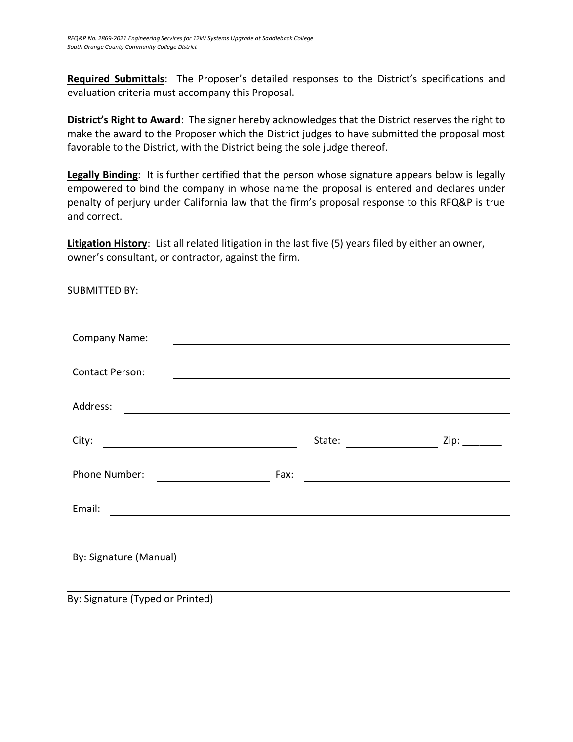**Required Submittals**: The Proposer's detailed responses to the District's specifications and evaluation criteria must accompany this Proposal.

**District's Right to Award**: The signer hereby acknowledges that the District reserves the right to make the award to the Proposer which the District judges to have submitted the proposal most favorable to the District, with the District being the sole judge thereof.

**Legally Binding**: It is further certified that the person whose signature appears below is legally empowered to bind the company in whose name the proposal is entered and declares under penalty of perjury under California law that the firm's proposal response to this RFQ&P is true and correct.

**Litigation History**: List all related litigation in the last five (5) years filed by either an owner, owner's consultant, or contractor, against the firm.

SUBMITTED BY:

| <b>Company Name:</b>                                                  |        |      |  |
|-----------------------------------------------------------------------|--------|------|--|
|                                                                       |        |      |  |
| <b>Contact Person:</b>                                                |        |      |  |
|                                                                       |        |      |  |
| Address:                                                              |        |      |  |
|                                                                       |        |      |  |
| City:                                                                 | State: | Zip: |  |
|                                                                       |        |      |  |
| Phone Number:                                                         | Fax:   |      |  |
|                                                                       |        |      |  |
| Email:<br><u> 1989 - Johann Stein, mars an de Francisco (f. 1989)</u> |        |      |  |
|                                                                       |        |      |  |
|                                                                       |        |      |  |
|                                                                       |        |      |  |
|                                                                       |        |      |  |
| By: Signature (Manual)                                                |        |      |  |

By: Signature (Typed or Printed)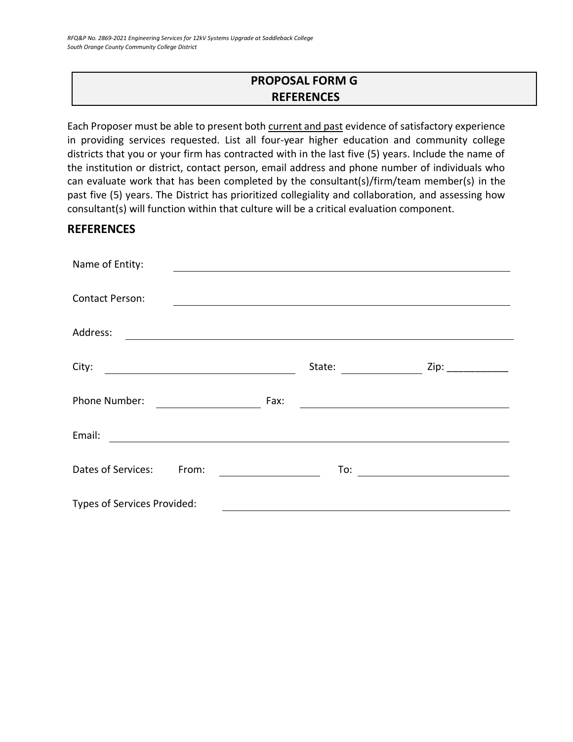# **PROPOSAL FORM G REFERENCES**

<span id="page-24-0"></span>Each Proposer must be able to present both current and past evidence of satisfactory experience in providing services requested. List all four-year higher education and community college districts that you or your firm has contracted with in the last five (5) years. Include the name of the institution or district, contact person, email address and phone number of individuals who can evaluate work that has been completed by the consultant(s)/firm/team member(s) in the past five (5) years. The District has prioritized collegiality and collaboration, and assessing how consultant(s) will function within that culture will be a critical evaluation component.

## **REFERENCES**

| Name of Entity:                                                                                                                  |        |                      |  |
|----------------------------------------------------------------------------------------------------------------------------------|--------|----------------------|--|
|                                                                                                                                  |        |                      |  |
| <b>Contact Person:</b>                                                                                                           |        |                      |  |
| Address:<br><u> 1980 - Andrea State Barbara, amerikan personal di sebagai personal di sebagai personal di sebagai personal d</u> |        |                      |  |
|                                                                                                                                  |        |                      |  |
| City:                                                                                                                            | State: | Zip: $\qquad \qquad$ |  |
| Phone Number:                                                                                                                    | Fax:   |                      |  |
| Email:                                                                                                                           |        |                      |  |
| Dates of Services:<br>From:                                                                                                      | To:    |                      |  |
| Types of Services Provided:                                                                                                      |        |                      |  |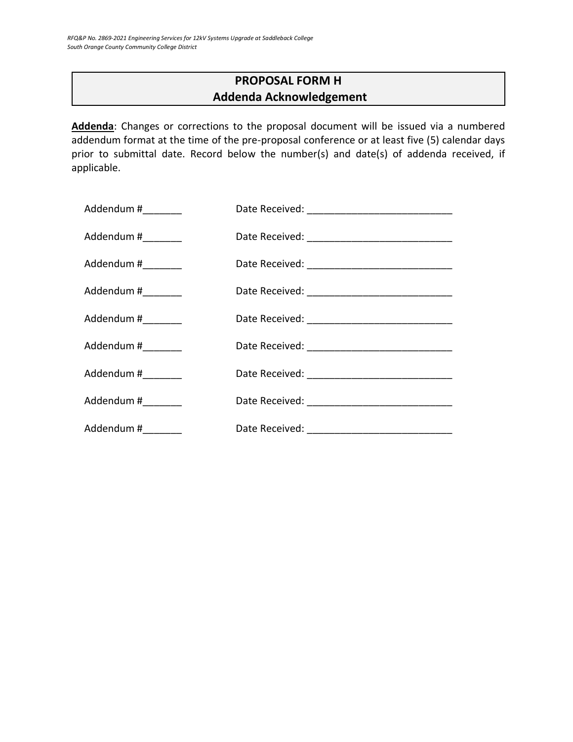# **PROPOSAL FORM H Addenda Acknowledgement**

<span id="page-25-0"></span>**Addenda**: Changes or corrections to the proposal document will be issued via a numbered addendum format at the time of the pre-proposal conference or at least five (5) calendar days prior to submittal date. Record below the number(s) and date(s) of addenda received, if applicable.

| Addendum #_________ |  |
|---------------------|--|
| Addendum #_________ |  |
| Addendum #_________ |  |
| Addendum #_________ |  |
| Addendum #________  |  |
| Addendum #________  |  |
| Addendum #________  |  |
| Addendum #________  |  |
| Addendum #_________ |  |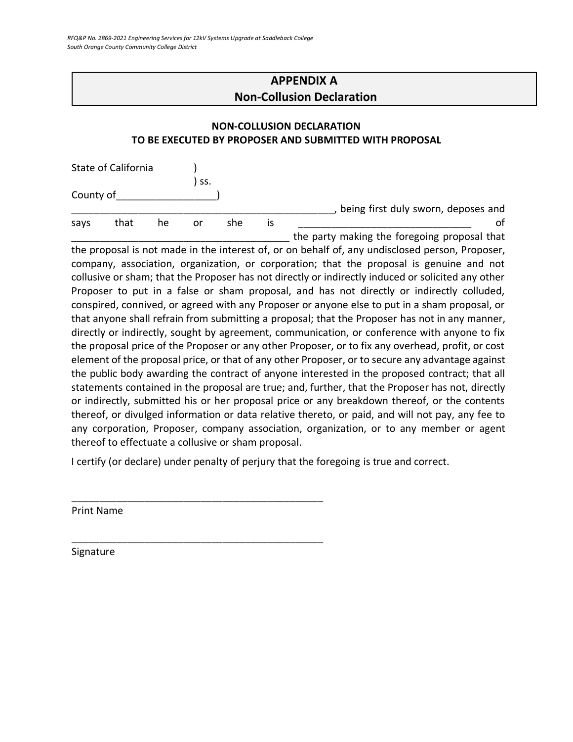# **APPENDIX A Non-Collusion Declaration**

#### <span id="page-26-0"></span>**NON-COLLUSION DECLARATION TO BE EXECUTED BY PROPOSER AND SUBMITTED WITH PROPOSAL**

|           | State of California |    |     |     |    |                                              |
|-----------|---------------------|----|-----|-----|----|----------------------------------------------|
|           |                     |    | SS. |     |    |                                              |
| County of |                     |    |     |     |    |                                              |
|           |                     |    |     |     |    | being first duly sworn, deposes and          |
| says      | that                | he | or  | she | IS |                                              |
|           |                     |    |     |     |    | the party making the foregoing proposal that |

the proposal is not made in the interest of, or on behalf of, any undisclosed person, Proposer, company, association, organization, or corporation; that the proposal is genuine and not collusive or sham; that the Proposer has not directly or indirectly induced or solicited any other Proposer to put in a false or sham proposal, and has not directly or indirectly colluded, conspired, connived, or agreed with any Proposer or anyone else to put in a sham proposal, or that anyone shall refrain from submitting a proposal; that the Proposer has not in any manner, directly or indirectly, sought by agreement, communication, or conference with anyone to fix the proposal price of the Proposer or any other Proposer, or to fix any overhead, profit, or cost element of the proposal price, or that of any other Proposer, or to secure any advantage against the public body awarding the contract of anyone interested in the proposed contract; that all statements contained in the proposal are true; and, further, that the Proposer has not, directly or indirectly, submitted his or her proposal price or any breakdown thereof, or the contents thereof, or divulged information or data relative thereto, or paid, and will not pay, any fee to any corporation, Proposer, company association, organization, or to any member or agent thereof to effectuate a collusive or sham proposal.

I certify (or declare) under penalty of perjury that the foregoing is true and correct.

\_\_\_\_\_\_\_\_\_\_\_\_\_\_\_\_\_\_\_\_\_\_\_\_\_\_\_\_\_\_\_\_\_\_\_\_\_\_\_\_\_\_\_\_\_

\_\_\_\_\_\_\_\_\_\_\_\_\_\_\_\_\_\_\_\_\_\_\_\_\_\_\_\_\_\_\_\_\_\_\_\_\_\_\_\_\_\_\_\_\_

Print Name

Signature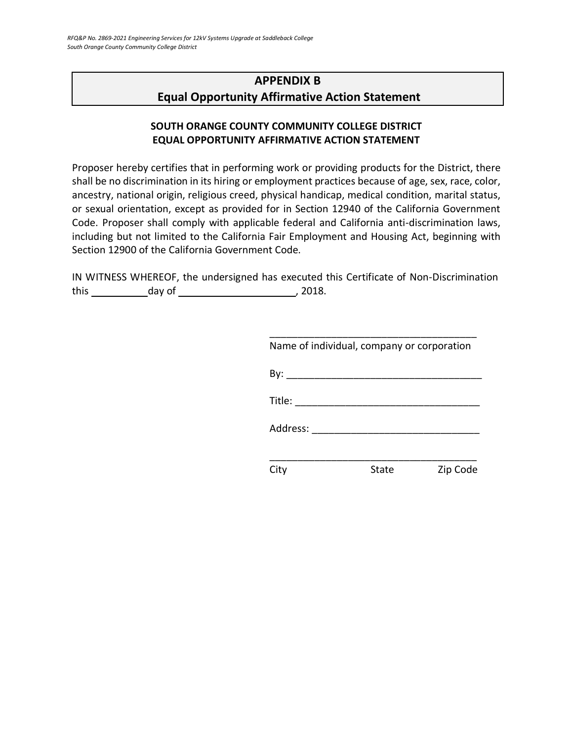# <span id="page-27-0"></span>**APPENDIX B Equal Opportunity Affirmative Action Statement**

## **SOUTH ORANGE COUNTY COMMUNITY COLLEGE DISTRICT EQUAL OPPORTUNITY AFFIRMATIVE ACTION STATEMENT**

Proposer hereby certifies that in performing work or providing products for the District, there shall be no discrimination in its hiring or employment practices because of age, sex, race, color, ancestry, national origin, religious creed, physical handicap, medical condition, marital status, or sexual orientation, except as provided for in Section 12940 of the California Government Code. Proposer shall comply with applicable federal and California anti-discrimination laws, including but not limited to the California Fair Employment and Housing Act, beginning with Section 12900 of the California Government Code.

IN WITNESS WHEREOF, the undersigned has executed this Certificate of Non-Discrimination this day of , 2018.

| Name of individual, company or corporation |       |          |
|--------------------------------------------|-------|----------|
|                                            |       |          |
| Title: $\qquad \qquad \qquad$              |       |          |
| Address: ________                          |       |          |
|                                            |       |          |
|                                            | State | Zip Code |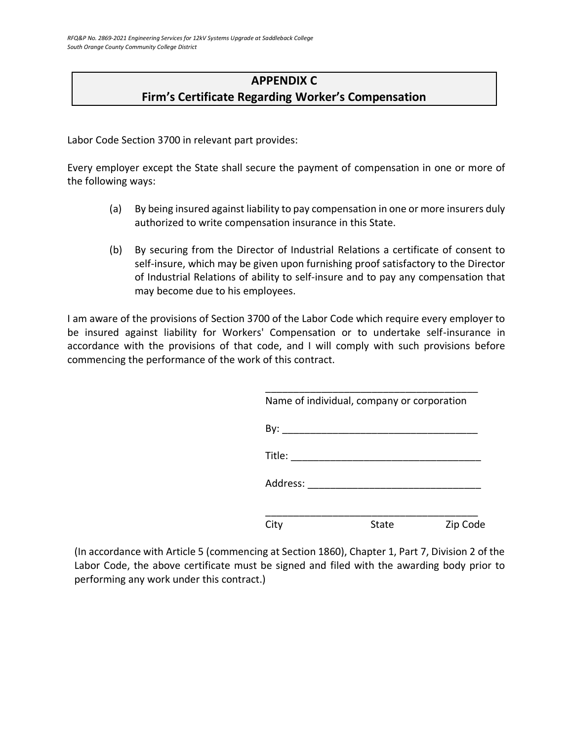# **APPENDIX C Firm's Certificate Regarding Worker's Compensation**

<span id="page-28-0"></span>Labor Code Section 3700 in relevant part provides:

Every employer except the State shall secure the payment of compensation in one or more of the following ways:

- (a) By being insured against liability to pay compensation in one or more insurers duly authorized to write compensation insurance in this State.
- (b) By securing from the Director of Industrial Relations a certificate of consent to self-insure, which may be given upon furnishing proof satisfactory to the Director of Industrial Relations of ability to self-insure and to pay any compensation that may become due to his employees.

I am aware of the provisions of Section 3700 of the Labor Code which require every employer to be insured against liability for Workers' Compensation or to undertake self-insurance in accordance with the provisions of that code, and I will comply with such provisions before commencing the performance of the work of this contract.

|                        | Name of individual, company or corporation |          |
|------------------------|--------------------------------------------|----------|
|                        |                                            |          |
| Title: $\qquad \qquad$ |                                            |          |
|                        | Address: _________________________         |          |
| City                   | State                                      | Zip Code |

(In accordance with Article 5 (commencing at Section 1860), Chapter 1, Part 7, Division 2 of the Labor Code, the above certificate must be signed and filed with the awarding body prior to performing any work under this contract.)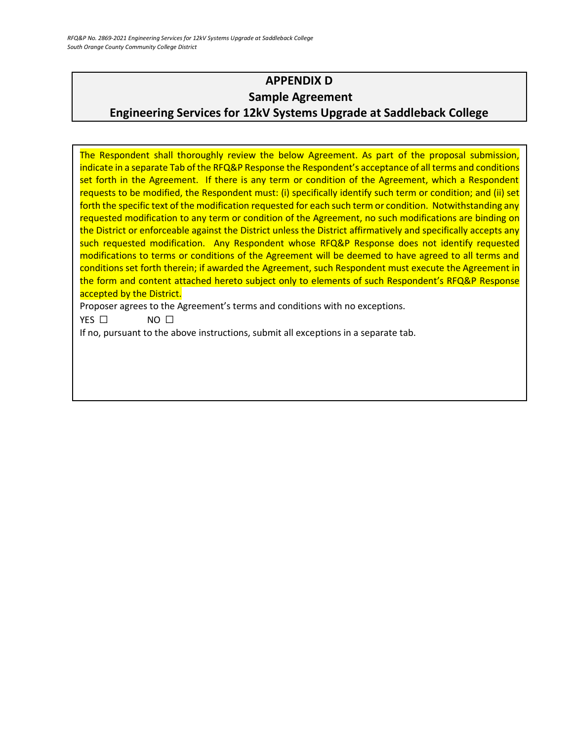# <span id="page-29-0"></span>**APPENDIX D Sample Agreement Engineering Services for 12kV Systems Upgrade at Saddleback College**

The Respondent shall thoroughly review the below Agreement. As part of the proposal submission, indicate in a separate Tab of the RFQ&P Response the Respondent's acceptance of all terms and conditions set forth in the Agreement. If there is any term or condition of the Agreement, which a Respondent requests to be modified, the Respondent must: (i) specifically identify such term or condition; and (ii) set forth the specific text of the modification requested for each such term or condition. Notwithstanding any requested modification to any term or condition of the Agreement, no such modifications are binding on the District or enforceable against the District unless the District affirmatively and specifically accepts any such requested modification. Any Respondent whose RFQ&P Response does not identify requested modifications to terms or conditions of the Agreement will be deemed to have agreed to all terms and conditions set forth therein; if awarded the Agreement, such Respondent must execute the Agreement in the form and content attached hereto subject only to elements of such Respondent's RFQ&P Response accepted by the District.

Proposer agrees to the Agreement's terms and conditions with no exceptions.

YES □ NO □

If no, pursuant to the above instructions, submit all exceptions in a separate tab.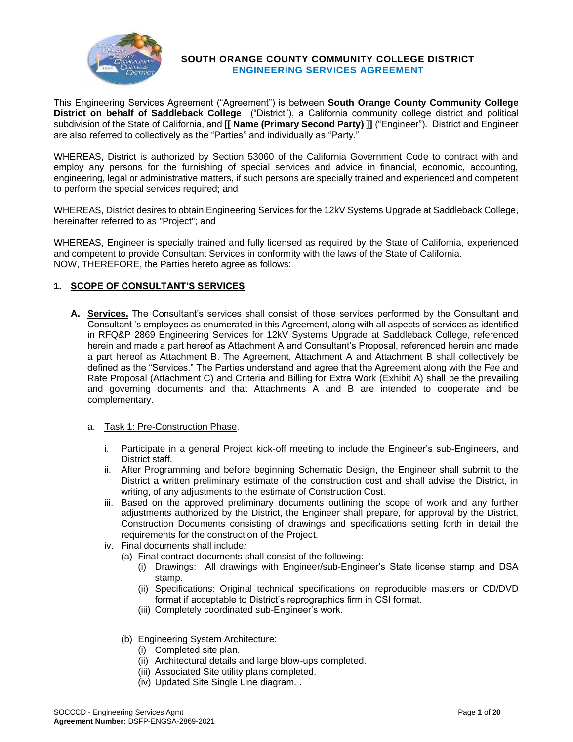

#### **SOUTH ORANGE COUNTY COMMUNITY COLLEGE DISTRICT ENGINEERING SERVICES AGREEMENT**

This Engineering Services Agreement ("Agreement") is between **South Orange County Community College District on behalf of Saddleback College** ("District"), a California community college district and political subdivision of the State of California, and **[[ Name (Primary Second Party) ]]** ("Engineer"). District and Engineer are also referred to collectively as the "Parties" and individually as "Party."

WHEREAS, District is authorized by Section 53060 of the California Government Code to contract with and employ any persons for the furnishing of special services and advice in financial, economic, accounting, engineering, legal or administrative matters, if such persons are specially trained and experienced and competent to perform the special services required; and

WHEREAS, District desires to obtain Engineering Services for the 12kV Systems Upgrade at Saddleback College, hereinafter referred to as "Project"; and

WHEREAS, Engineer is specially trained and fully licensed as required by the State of California, experienced and competent to provide Consultant Services in conformity with the laws of the State of California. NOW, THEREFORE, the Parties hereto agree as follows:

#### **1. SCOPE OF CONSULTANT'S SERVICES**

**A. Services.** The Consultant's services shall consist of those services performed by the Consultant and Consultant 's employees as enumerated in this Agreement, along with all aspects of services as identified in RFQ&P 2869 Engineering Services for 12kV Systems Upgrade at Saddleback College, referenced herein and made a part hereof as Attachment A and Consultant's Proposal, referenced herein and made a part hereof as Attachment B. The Agreement, Attachment A and Attachment B shall collectively be defined as the "Services." The Parties understand and agree that the Agreement along with the Fee and Rate Proposal (Attachment C) and Criteria and Billing for Extra Work (Exhibit A) shall be the prevailing and governing documents and that Attachments A and B are intended to cooperate and be complementary.

#### a. Task 1: Pre-Construction Phase.

- i. Participate in a general Project kick-off meeting to include the Engineer's sub-Engineers, and District staff.
- ii. After Programming and before beginning Schematic Design, the Engineer shall submit to the District a written preliminary estimate of the construction cost and shall advise the District, in writing, of any adjustments to the estimate of Construction Cost.
- iii. Based on the approved preliminary documents outlining the scope of work and any further adjustments authorized by the District, the Engineer shall prepare, for approval by the District, Construction Documents consisting of drawings and specifications setting forth in detail the requirements for the construction of the Project.
- iv. Final documents shall include*:*
	- (a) Final contract documents shall consist of the following:
		- (i) Drawings: All drawings with Engineer/sub-Engineer's State license stamp and DSA stamp.
		- (ii) Specifications: Original technical specifications on reproducible masters or CD/DVD format if acceptable to District's reprographics firm in CSI format.
		- (iii) Completely coordinated sub-Engineer's work.
	- (b) Engineering System Architecture:
		- (i) Completed site plan.
		- (ii) Architectural details and large blow-ups completed.
		- (iii) Associated Site utility plans completed.
		- (iv) Updated Site Single Line diagram. .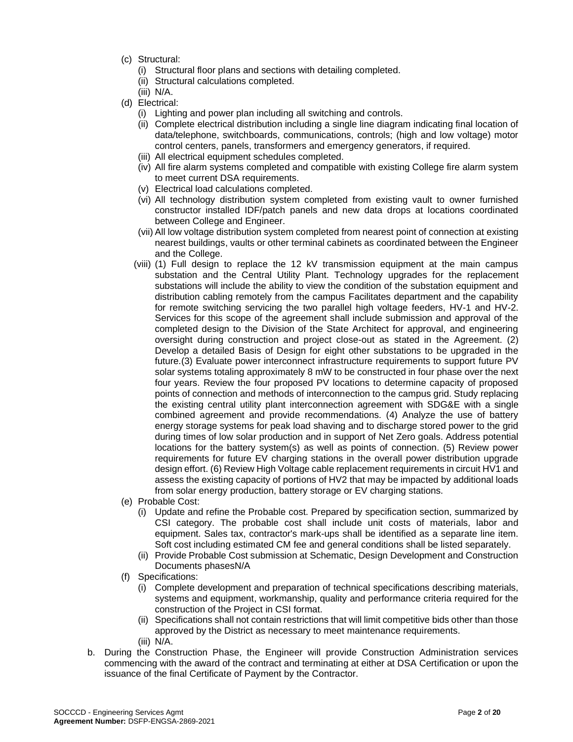- (c) Structural:
	- (i) Structural floor plans and sections with detailing completed.
	- (ii) Structural calculations completed.
	- (iii) N/A.
- (d) Electrical:
	- (i) Lighting and power plan including all switching and controls.
	- (ii) Complete electrical distribution including a single line diagram indicating final location of data/telephone, switchboards, communications, controls; (high and low voltage) motor control centers, panels, transformers and emergency generators, if required.
	- (iii) All electrical equipment schedules completed.
	- (iv) All fire alarm systems completed and compatible with existing College fire alarm system to meet current DSA requirements.
	- (v) Electrical load calculations completed.
	- (vi) All technology distribution system completed from existing vault to owner furnished constructor installed IDF/patch panels and new data drops at locations coordinated between College and Engineer.
	- (vii) All low voltage distribution system completed from nearest point of connection at existing nearest buildings, vaults or other terminal cabinets as coordinated between the Engineer and the College.
	- (viii) (1) Full design to replace the 12 kV transmission equipment at the main campus substation and the Central Utility Plant. Technology upgrades for the replacement substations will include the ability to view the condition of the substation equipment and distribution cabling remotely from the campus Facilitates department and the capability for remote switching servicing the two parallel high voltage feeders, HV-1 and HV-2. Services for this scope of the agreement shall include submission and approval of the completed design to the Division of the State Architect for approval, and engineering oversight during construction and project close-out as stated in the Agreement. (2) Develop a detailed Basis of Design for eight other substations to be upgraded in the future.(3) Evaluate power interconnect infrastructure requirements to support future PV solar systems totaling approximately 8 mW to be constructed in four phase over the next four years. Review the four proposed PV locations to determine capacity of proposed points of connection and methods of interconnection to the campus grid. Study replacing the existing central utility plant interconnection agreement with SDG&E with a single combined agreement and provide recommendations. (4) Analyze the use of battery energy storage systems for peak load shaving and to discharge stored power to the grid during times of low solar production and in support of Net Zero goals. Address potential locations for the battery system(s) as well as points of connection. (5) Review power requirements for future EV charging stations in the overall power distribution upgrade design effort. (6) Review High Voltage cable replacement requirements in circuit HV1 and assess the existing capacity of portions of HV2 that may be impacted by additional loads from solar energy production, battery storage or EV charging stations.
- (e) Probable Cost:
	- (i) Update and refine the Probable cost. Prepared by specification section, summarized by CSI category. The probable cost shall include unit costs of materials, labor and equipment. Sales tax, contractor's mark-ups shall be identified as a separate line item. Soft cost including estimated CM fee and general conditions shall be listed separately.
	- (ii) Provide Probable Cost submission at Schematic, Design Development and Construction Documents phasesN/A
- (f) Specifications:
	- (i) Complete development and preparation of technical specifications describing materials, systems and equipment, workmanship, quality and performance criteria required for the construction of the Project in CSI format.
	- (ii) Specifications shall not contain restrictions that will limit competitive bids other than those approved by the District as necessary to meet maintenance requirements.
	- (iii) N/A.
- b. During the Construction Phase, the Engineer will provide Construction Administration services commencing with the award of the contract and terminating at either at DSA Certification or upon the issuance of the final Certificate of Payment by the Contractor.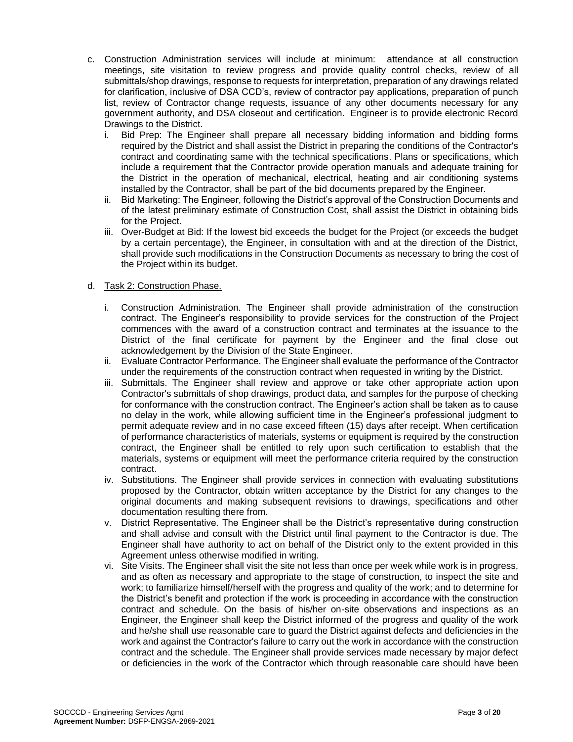- c. Construction Administration services will include at minimum: attendance at all construction meetings, site visitation to review progress and provide quality control checks, review of all submittals/shop drawings, response to requests for interpretation, preparation of any drawings related for clarification, inclusive of DSA CCD's, review of contractor pay applications, preparation of punch list, review of Contractor change requests, issuance of any other documents necessary for any government authority, and DSA closeout and certification. Engineer is to provide electronic Record Drawings to the District.
	- i. Bid Prep: The Engineer shall prepare all necessary bidding information and bidding forms required by the District and shall assist the District in preparing the conditions of the Contractor's contract and coordinating same with the technical specifications. Plans or specifications, which include a requirement that the Contractor provide operation manuals and adequate training for the District in the operation of mechanical, electrical, heating and air conditioning systems installed by the Contractor, shall be part of the bid documents prepared by the Engineer.
	- ii. Bid Marketing: The Engineer, following the District's approval of the Construction Documents and of the latest preliminary estimate of Construction Cost, shall assist the District in obtaining bids for the Project.
	- iii. Over-Budget at Bid: If the lowest bid exceeds the budget for the Project (or exceeds the budget by a certain percentage), the Engineer, in consultation with and at the direction of the District, shall provide such modifications in the Construction Documents as necessary to bring the cost of the Project within its budget.

#### d. Task 2: Construction Phase.

- i. Construction Administration. The Engineer shall provide administration of the construction contract. The Engineer's responsibility to provide services for the construction of the Project commences with the award of a construction contract and terminates at the issuance to the District of the final certificate for payment by the Engineer and the final close out acknowledgement by the Division of the State Engineer.
- ii. Evaluate Contractor Performance. The Engineer shall evaluate the performance of the Contractor under the requirements of the construction contract when requested in writing by the District.
- iii. Submittals. The Engineer shall review and approve or take other appropriate action upon Contractor's submittals of shop drawings, product data, and samples for the purpose of checking for conformance with the construction contract. The Engineer's action shall be taken as to cause no delay in the work, while allowing sufficient time in the Engineer's professional judgment to permit adequate review and in no case exceed fifteen (15) days after receipt. When certification of performance characteristics of materials, systems or equipment is required by the construction contract, the Engineer shall be entitled to rely upon such certification to establish that the materials, systems or equipment will meet the performance criteria required by the construction contract.
- iv. Substitutions. The Engineer shall provide services in connection with evaluating substitutions proposed by the Contractor, obtain written acceptance by the District for any changes to the original documents and making subsequent revisions to drawings, specifications and other documentation resulting there from.
- v. District Representative. The Engineer shall be the District's representative during construction and shall advise and consult with the District until final payment to the Contractor is due. The Engineer shall have authority to act on behalf of the District only to the extent provided in this Agreement unless otherwise modified in writing.
- vi. Site Visits. The Engineer shall visit the site not less than once per week while work is in progress, and as often as necessary and appropriate to the stage of construction, to inspect the site and work; to familiarize himself/herself with the progress and quality of the work; and to determine for the District's benefit and protection if the work is proceeding in accordance with the construction contract and schedule. On the basis of his/her on-site observations and inspections as an Engineer, the Engineer shall keep the District informed of the progress and quality of the work and he/she shall use reasonable care to guard the District against defects and deficiencies in the work and against the Contractor's failure to carry out the work in accordance with the construction contract and the schedule. The Engineer shall provide services made necessary by major defect or deficiencies in the work of the Contractor which through reasonable care should have been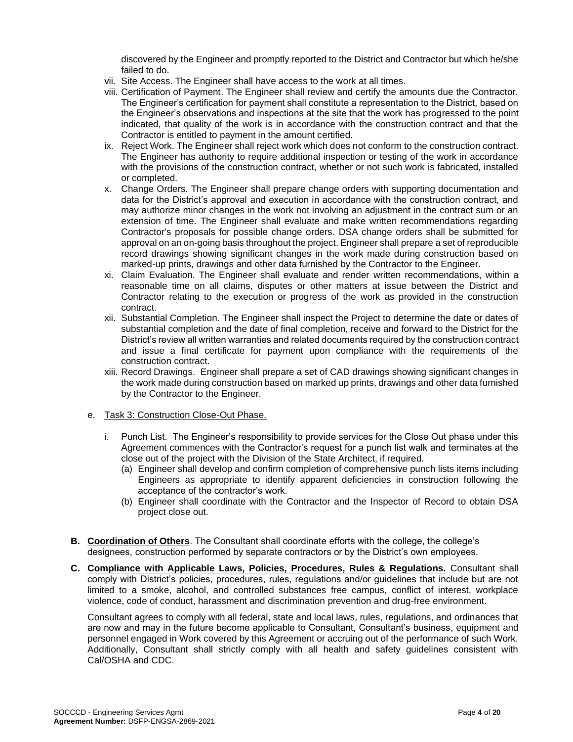discovered by the Engineer and promptly reported to the District and Contractor but which he/she failed to do.

- vii. Site Access. The Engineer shall have access to the work at all times.
- viii. Certification of Payment. The Engineer shall review and certify the amounts due the Contractor. The Engineer's certification for payment shall constitute a representation to the District, based on the Engineer's observations and inspections at the site that the work has progressed to the point indicated, that quality of the work is in accordance with the construction contract and that the Contractor is entitled to payment in the amount certified.
- ix. Reject Work. The Engineer shall reject work which does not conform to the construction contract. The Engineer has authority to require additional inspection or testing of the work in accordance with the provisions of the construction contract, whether or not such work is fabricated, installed or completed.
- x. Change Orders. The Engineer shall prepare change orders with supporting documentation and data for the District's approval and execution in accordance with the construction contract, and may authorize minor changes in the work not involving an adjustment in the contract sum or an extension of time. The Engineer shall evaluate and make written recommendations regarding Contractor's proposals for possible change orders. DSA change orders shall be submitted for approval on an on-going basis throughout the project. Engineer shall prepare a set of reproducible record drawings showing significant changes in the work made during construction based on marked-up prints, drawings and other data furnished by the Contractor to the Engineer.
- xi. Claim Evaluation. The Engineer shall evaluate and render written recommendations, within a reasonable time on all claims, disputes or other matters at issue between the District and Contractor relating to the execution or progress of the work as provided in the construction contract.
- xii. Substantial Completion. The Engineer shall inspect the Project to determine the date or dates of substantial completion and the date of final completion, receive and forward to the District for the District's review all written warranties and related documents required by the construction contract and issue a final certificate for payment upon compliance with the requirements of the construction contract.
- xiii. Record Drawings. Engineer shall prepare a set of CAD drawings showing significant changes in the work made during construction based on marked up prints, drawings and other data furnished by the Contractor to the Engineer.

#### e. Task 3: Construction Close-Out Phase.

- i. Punch List. The Engineer's responsibility to provide services for the Close Out phase under this Agreement commences with the Contractor's request for a punch list walk and terminates at the close out of the project with the Division of the State Architect, if required.
	- (a) Engineer shall develop and confirm completion of comprehensive punch lists items including Engineers as appropriate to identify apparent deficiencies in construction following the acceptance of the contractor's work.
	- (b) Engineer shall coordinate with the Contractor and the Inspector of Record to obtain DSA project close out.
- **B. Coordination of Others**. The Consultant shall coordinate efforts with the college, the college's designees, construction performed by separate contractors or by the District's own employees.
- **C. Compliance with Applicable Laws, Policies, Procedures, Rules & Regulations.** Consultant shall comply with District's policies, procedures, rules, regulations and/or guidelines that include but are not limited to a smoke, alcohol, and controlled substances free campus, conflict of interest, workplace violence, code of conduct, harassment and discrimination prevention and drug-free environment.

Consultant agrees to comply with all federal, state and local laws, rules, regulations, and ordinances that are now and may in the future become applicable to Consultant, Consultant's business, equipment and personnel engaged in Work covered by this Agreement or accruing out of the performance of such Work. Additionally, Consultant shall strictly comply with all health and safety guidelines consistent with Cal/OSHA and CDC.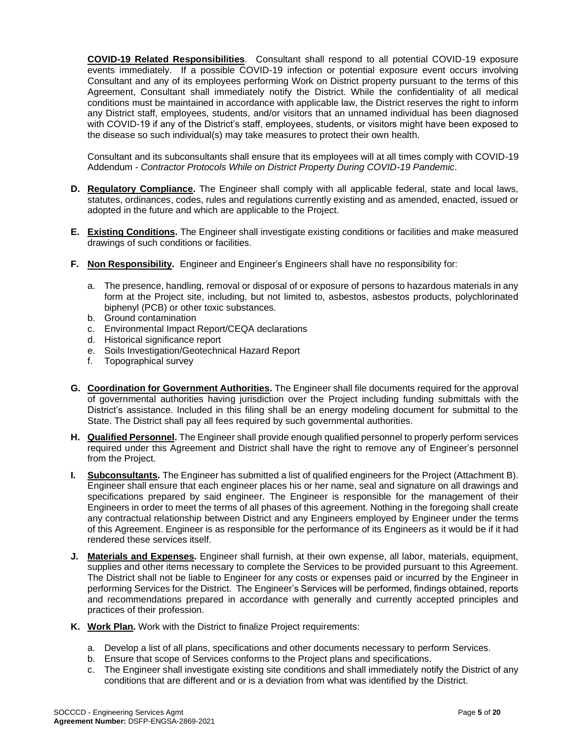**COVID-19 Related Responsibilities**. Consultant shall respond to all potential COVID-19 exposure events immediately. If a possible COVID-19 infection or potential exposure event occurs involving Consultant and any of its employees performing Work on District property pursuant to the terms of this Agreement, Consultant shall immediately notify the District. While the confidentiality of all medical conditions must be maintained in accordance with applicable law, the District reserves the right to inform any District staff, employees, students, and/or visitors that an unnamed individual has been diagnosed with COVID-19 if any of the District's staff, employees, students, or visitors might have been exposed to the disease so such individual(s) may take measures to protect their own health.

Consultant and its subconsultants shall ensure that its employees will at all times comply with COVID-19 Addendum - *Contractor Protocols While on District Property During COVID-19 Pandemic*.

- **D. Regulatory Compliance.** The Engineer shall comply with all applicable federal, state and local laws, statutes, ordinances, codes, rules and regulations currently existing and as amended, enacted, issued or adopted in the future and which are applicable to the Project.
- **E. Existing Conditions.** The Engineer shall investigate existing conditions or facilities and make measured drawings of such conditions or facilities.
- **F. Non Responsibility.** Engineer and Engineer's Engineers shall have no responsibility for:
	- a. The presence, handling, removal or disposal of or exposure of persons to hazardous materials in any form at the Project site, including, but not limited to, asbestos, asbestos products, polychlorinated biphenyl (PCB) or other toxic substances.
	- b. Ground contamination
	- c. Environmental Impact Report/CEQA declarations
	- d. Historical significance report
	- e. Soils Investigation/Geotechnical Hazard Report
	- f. Topographical survey
- **G. Coordination for Government Authorities.** The Engineer shall file documents required for the approval of governmental authorities having jurisdiction over the Project including funding submittals with the District's assistance. Included in this filing shall be an energy modeling document for submittal to the State. The District shall pay all fees required by such governmental authorities.
- **H. Qualified Personnel.** The Engineer shall provide enough qualified personnel to properly perform services required under this Agreement and District shall have the right to remove any of Engineer's personnel from the Project.
- **I. Subconsultants.** The Engineer has submitted a list of qualified engineers for the Project (Attachment B). Engineer shall ensure that each engineer places his or her name, seal and signature on all drawings and specifications prepared by said engineer. The Engineer is responsible for the management of their Engineers in order to meet the terms of all phases of this agreement. Nothing in the foregoing shall create any contractual relationship between District and any Engineers employed by Engineer under the terms of this Agreement. Engineer is as responsible for the performance of its Engineers as it would be if it had rendered these services itself.
- **J. Materials and Expenses.** Engineer shall furnish, at their own expense, all labor, materials, equipment, supplies and other items necessary to complete the Services to be provided pursuant to this Agreement. The District shall not be liable to Engineer for any costs or expenses paid or incurred by the Engineer in performing Services for the District. The Engineer's Services will be performed, findings obtained, reports and recommendations prepared in accordance with generally and currently accepted principles and practices of their profession.
- **K. Work Plan.** Work with the District to finalize Project requirements:
	- a. Develop a list of all plans, specifications and other documents necessary to perform Services.
	- b. Ensure that scope of Services conforms to the Project plans and specifications.
	- c. The Engineer shall investigate existing site conditions and shall immediately notify the District of any conditions that are different and or is a deviation from what was identified by the District.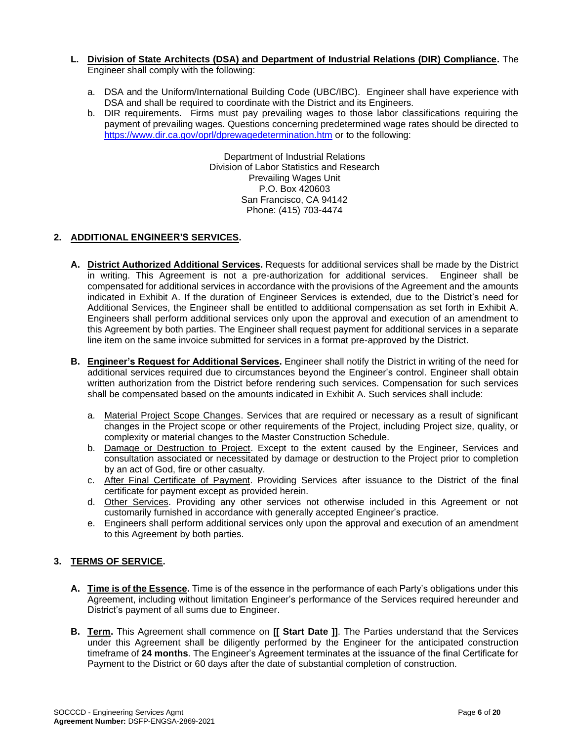#### **L. Division of State Architects (DSA) and Department of Industrial Relations (DIR) Compliance.** The Engineer shall comply with the following:

- a. DSA and the Uniform/International Building Code (UBC/IBC). Engineer shall have experience with DSA and shall be required to coordinate with the District and its Engineers.
- b. DIR requirements. Firms must pay prevailing wages to those labor classifications requiring the payment of prevailing wages. Questions concerning predetermined wage rates should be directed to <https://www.dir.ca.gov/oprl/dprewagedetermination.htm> or to the following:

Department of Industrial Relations Division of Labor Statistics and Research Prevailing Wages Unit P.O. Box 420603 San Francisco, CA 94142 Phone: (415) 703-4474

#### **2. ADDITIONAL ENGINEER'S SERVICES.**

- **A. District Authorized Additional Services.** Requests for additional services shall be made by the District in writing. This Agreement is not a pre-authorization for additional services. Engineer shall be compensated for additional services in accordance with the provisions of the Agreement and the amounts indicated in Exhibit A. If the duration of Engineer Services is extended, due to the District's need for Additional Services, the Engineer shall be entitled to additional compensation as set forth in Exhibit A. Engineers shall perform additional services only upon the approval and execution of an amendment to this Agreement by both parties. The Engineer shall request payment for additional services in a separate line item on the same invoice submitted for services in a format pre-approved by the District.
- **B. Engineer's Request for Additional Services.** Engineer shall notify the District in writing of the need for additional services required due to circumstances beyond the Engineer's control. Engineer shall obtain written authorization from the District before rendering such services. Compensation for such services shall be compensated based on the amounts indicated in Exhibit A. Such services shall include:
	- a. Material Project Scope Changes. Services that are required or necessary as a result of significant changes in the Project scope or other requirements of the Project, including Project size, quality, or complexity or material changes to the Master Construction Schedule.
	- b. Damage or Destruction to Project. Except to the extent caused by the Engineer, Services and consultation associated or necessitated by damage or destruction to the Project prior to completion by an act of God, fire or other casualty.
	- c. After Final Certificate of Payment. Providing Services after issuance to the District of the final certificate for payment except as provided herein.
	- d. Other Services. Providing any other services not otherwise included in this Agreement or not customarily furnished in accordance with generally accepted Engineer's practice.
	- e. Engineers shall perform additional services only upon the approval and execution of an amendment to this Agreement by both parties.

#### **3. TERMS OF SERVICE.**

- **A. Time is of the Essence.** Time is of the essence in the performance of each Party's obligations under this Agreement, including without limitation Engineer's performance of the Services required hereunder and District's payment of all sums due to Engineer.
- **B. Term.** This Agreement shall commence on **[[ Start Date ]]**. The Parties understand that the Services under this Agreement shall be diligently performed by the Engineer for the anticipated construction timeframe of **24 months**. The Engineer's Agreement terminates at the issuance of the final Certificate for Payment to the District or 60 days after the date of substantial completion of construction.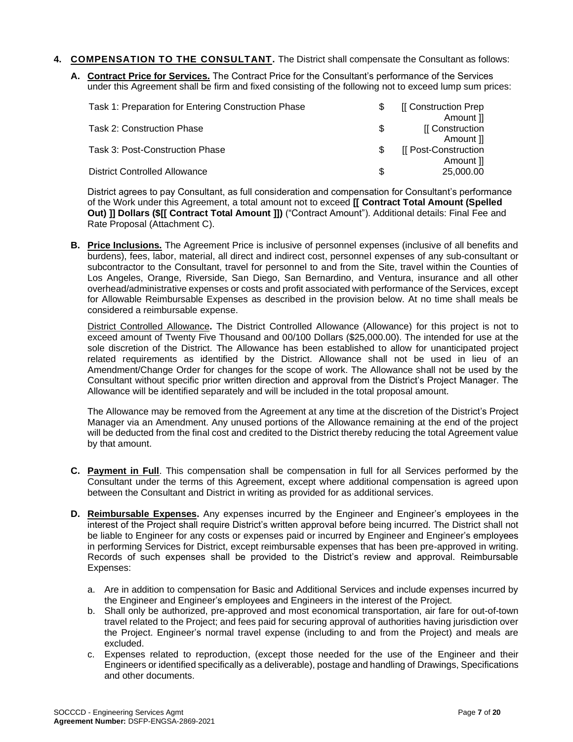- **4. COMPENSATION TO THE CONSULTANT.** The District shall compensate the Consultant as follows:
	- **A. Contract Price for Services.** The Contract Price for the Consultant's performance of the Services under this Agreement shall be firm and fixed consisting of the following not to exceed lump sum prices:

| Task 1: Preparation for Entering Construction Phase | [[ Construction Prep |
|-----------------------------------------------------|----------------------|
|                                                     | Amount II            |
| <b>Task 2: Construction Phase</b>                   | [[ Construction      |
|                                                     | Amount II            |
| Task 3: Post-Construction Phase                     | [[ Post-Construction |
|                                                     | Amount 1             |
| <b>District Controlled Allowance</b>                | 25,000.00            |

District agrees to pay Consultant, as full consideration and compensation for Consultant's performance of the Work under this Agreement, a total amount not to exceed **[[ Contract Total Amount (Spelled Out) ]] Dollars (\$[[ Contract Total Amount ]])** ("Contract Amount"). Additional details: Final Fee and Rate Proposal (Attachment C).

**B. Price Inclusions.** The Agreement Price is inclusive of personnel expenses (inclusive of all benefits and burdens), fees, labor, material, all direct and indirect cost, personnel expenses of any sub-consultant or subcontractor to the Consultant, travel for personnel to and from the Site, travel within the Counties of Los Angeles, Orange, Riverside, San Diego, San Bernardino, and Ventura, insurance and all other overhead/administrative expenses or costs and profit associated with performance of the Services, except for Allowable Reimbursable Expenses as described in the provision below. At no time shall meals be considered a reimbursable expense.

District Controlled Allowance**.** The District Controlled Allowance (Allowance) for this project is not to exceed amount of Twenty Five Thousand and 00/100 Dollars (\$25,000.00). The intended for use at the sole discretion of the District. The Allowance has been established to allow for unanticipated project related requirements as identified by the District. Allowance shall not be used in lieu of an Amendment/Change Order for changes for the scope of work. The Allowance shall not be used by the Consultant without specific prior written direction and approval from the District's Project Manager. The Allowance will be identified separately and will be included in the total proposal amount.

The Allowance may be removed from the Agreement at any time at the discretion of the District's Project Manager via an Amendment. Any unused portions of the Allowance remaining at the end of the project will be deducted from the final cost and credited to the District thereby reducing the total Agreement value by that amount.

- **C. Payment in Full**. This compensation shall be compensation in full for all Services performed by the Consultant under the terms of this Agreement, except where additional compensation is agreed upon between the Consultant and District in writing as provided for as additional services.
- **D.** Reimbursable Expenses. Any expenses incurred by the Engineer and Engineer's employees in the interest of the Project shall require District's written approval before being incurred. The District shall not be liable to Engineer for any costs or expenses paid or incurred by Engineer and Engineer's employees in performing Services for District, except reimbursable expenses that has been pre-approved in writing. Records of such expenses shall be provided to the District's review and approval. Reimbursable Expenses:
	- a. Are in addition to compensation for Basic and Additional Services and include expenses incurred by the Engineer and Engineer's employees and Engineers in the interest of the Project.
	- b. Shall only be authorized, pre-approved and most economical transportation, air fare for out-of-town travel related to the Project; and fees paid for securing approval of authorities having jurisdiction over the Project. Engineer's normal travel expense (including to and from the Project) and meals are excluded.
	- c. Expenses related to reproduction, (except those needed for the use of the Engineer and their Engineers or identified specifically as a deliverable), postage and handling of Drawings, Specifications and other documents.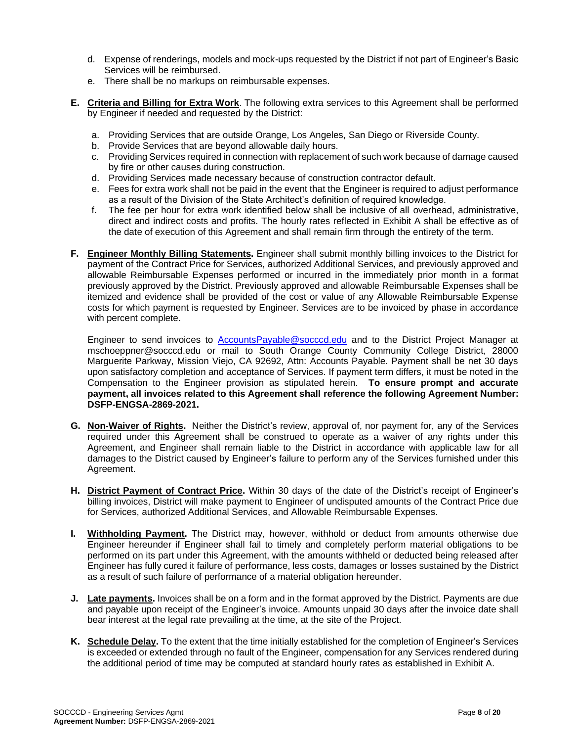- d. Expense of renderings, models and mock-ups requested by the District if not part of Engineer's Basic Services will be reimbursed.
- e. There shall be no markups on reimbursable expenses.
- **E. Criteria and Billing for Extra Work**. The following extra services to this Agreement shall be performed by Engineer if needed and requested by the District:
	- a. Providing Services that are outside Orange, Los Angeles, San Diego or Riverside County.
	- b. Provide Services that are beyond allowable daily hours.
	- c. Providing Services required in connection with replacement of such work because of damage caused by fire or other causes during construction.
	- d. Providing Services made necessary because of construction contractor default.
	- e. Fees for extra work shall not be paid in the event that the Engineer is required to adjust performance as a result of the Division of the State Architect's definition of required knowledge.
	- f. The fee per hour for extra work identified below shall be inclusive of all overhead, administrative, direct and indirect costs and profits. The hourly rates reflected in Exhibit A shall be effective as of the date of execution of this Agreement and shall remain firm through the entirety of the term.
- **F. Engineer Monthly Billing Statements.** Engineer shall submit monthly billing invoices to the District for payment of the Contract Price for Services, authorized Additional Services, and previously approved and allowable Reimbursable Expenses performed or incurred in the immediately prior month in a format previously approved by the District. Previously approved and allowable Reimbursable Expenses shall be itemized and evidence shall be provided of the cost or value of any Allowable Reimbursable Expense costs for which payment is requested by Engineer. Services are to be invoiced by phase in accordance with percent complete.

Engineer to send invoices to **[AccountsPayable@socccd.edu](mailto:AccountsPayable@socccd.edu)** and to the District Project Manager at mschoeppner@socccd.edu or mail to South Orange County Community College District, 28000 Marguerite Parkway, Mission Viejo, CA 92692, Attn: Accounts Payable. Payment shall be net 30 days upon satisfactory completion and acceptance of Services. If payment term differs, it must be noted in the Compensation to the Engineer provision as stipulated herein. **To ensure prompt and accurate payment, all invoices related to this Agreement shall reference the following Agreement Number: DSFP-ENGSA-2869-2021.**

- **G. Non-Waiver of Rights.** Neither the District's review, approval of, nor payment for, any of the Services required under this Agreement shall be construed to operate as a waiver of any rights under this Agreement, and Engineer shall remain liable to the District in accordance with applicable law for all damages to the District caused by Engineer's failure to perform any of the Services furnished under this Agreement.
- **H. District Payment of Contract Price.** Within 30 days of the date of the District's receipt of Engineer's billing invoices, District will make payment to Engineer of undisputed amounts of the Contract Price due for Services, authorized Additional Services, and Allowable Reimbursable Expenses.
- **I. Withholding Payment.** The District may, however, withhold or deduct from amounts otherwise due Engineer hereunder if Engineer shall fail to timely and completely perform material obligations to be performed on its part under this Agreement, with the amounts withheld or deducted being released after Engineer has fully cured it failure of performance, less costs, damages or losses sustained by the District as a result of such failure of performance of a material obligation hereunder.
- **J. Late payments.** Invoices shall be on a form and in the format approved by the District. Payments are due and payable upon receipt of the Engineer's invoice. Amounts unpaid 30 days after the invoice date shall bear interest at the legal rate prevailing at the time, at the site of the Project.
- **K. Schedule Delay.** To the extent that the time initially established for the completion of Engineer's Services is exceeded or extended through no fault of the Engineer, compensation for any Services rendered during the additional period of time may be computed at standard hourly rates as established in Exhibit A.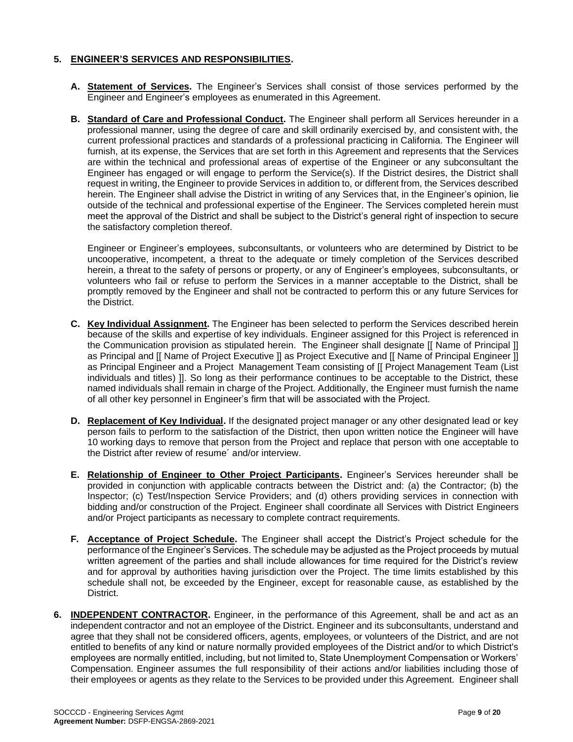#### **5. ENGINEER'S SERVICES AND RESPONSIBILITIES.**

- **A. Statement of Services.** The Engineer's Services shall consist of those services performed by the Engineer and Engineer's employees as enumerated in this Agreement.
- **B. Standard of Care and Professional Conduct.** The Engineer shall perform all Services hereunder in a professional manner, using the degree of care and skill ordinarily exercised by, and consistent with, the current professional practices and standards of a professional practicing in California. The Engineer will furnish, at its expense, the Services that are set forth in this Agreement and represents that the Services are within the technical and professional areas of expertise of the Engineer or any subconsultant the Engineer has engaged or will engage to perform the Service(s). If the District desires, the District shall request in writing, the Engineer to provide Services in addition to, or different from, the Services described herein. The Engineer shall advise the District in writing of any Services that, in the Engineer's opinion, lie outside of the technical and professional expertise of the Engineer. The Services completed herein must meet the approval of the District and shall be subject to the District's general right of inspection to secure the satisfactory completion thereof.

Engineer or Engineer's employees, subconsultants, or volunteers who are determined by District to be uncooperative, incompetent, a threat to the adequate or timely completion of the Services described herein, a threat to the safety of persons or property, or any of Engineer's employees, subconsultants, or volunteers who fail or refuse to perform the Services in a manner acceptable to the District, shall be promptly removed by the Engineer and shall not be contracted to perform this or any future Services for the District.

- **C. Key Individual Assignment.** The Engineer has been selected to perform the Services described herein because of the skills and expertise of key individuals. Engineer assigned for this Project is referenced in the Communication provision as stipulated herein. The Engineer shall designate [[ Name of Principal ]] as Principal and [[ Name of Project Executive ]] as Project Executive and [[ Name of Principal Engineer ]] as Principal Engineer and a Project Management Team consisting of [[ Project Management Team (List individuals and titles) ]]. So long as their performance continues to be acceptable to the District, these named individuals shall remain in charge of the Project. Additionally, the Engineer must furnish the name of all other key personnel in Engineer's firm that will be associated with the Project.
- **D. Replacement of Key Individual.** If the designated project manager or any other designated lead or key person fails to perform to the satisfaction of the District, then upon written notice the Engineer will have 10 working days to remove that person from the Project and replace that person with one acceptable to the District after review of resume´ and/or interview.
- **E. Relationship of Engineer to Other Project Participants.** Engineer's Services hereunder shall be provided in conjunction with applicable contracts between the District and: (a) the Contractor; (b) the Inspector; (c) Test/Inspection Service Providers; and (d) others providing services in connection with bidding and/or construction of the Project. Engineer shall coordinate all Services with District Engineers and/or Project participants as necessary to complete contract requirements.
- **F. Acceptance of Project Schedule.** The Engineer shall accept the District's Project schedule for the performance of the Engineer's Services. The schedule may be adjusted as the Project proceeds by mutual written agreement of the parties and shall include allowances for time required for the District's review and for approval by authorities having jurisdiction over the Project. The time limits established by this schedule shall not, be exceeded by the Engineer, except for reasonable cause, as established by the District.
- **6. INDEPENDENT CONTRACTOR.** Engineer, in the performance of this Agreement, shall be and act as an independent contractor and not an employee of the District. Engineer and its subconsultants, understand and agree that they shall not be considered officers, agents, employees, or volunteers of the District, and are not entitled to benefits of any kind or nature normally provided employees of the District and/or to which District's employees are normally entitled, including, but not limited to, State Unemployment Compensation or Workers' Compensation. Engineer assumes the full responsibility of their actions and/or liabilities including those of their employees or agents as they relate to the Services to be provided under this Agreement. Engineer shall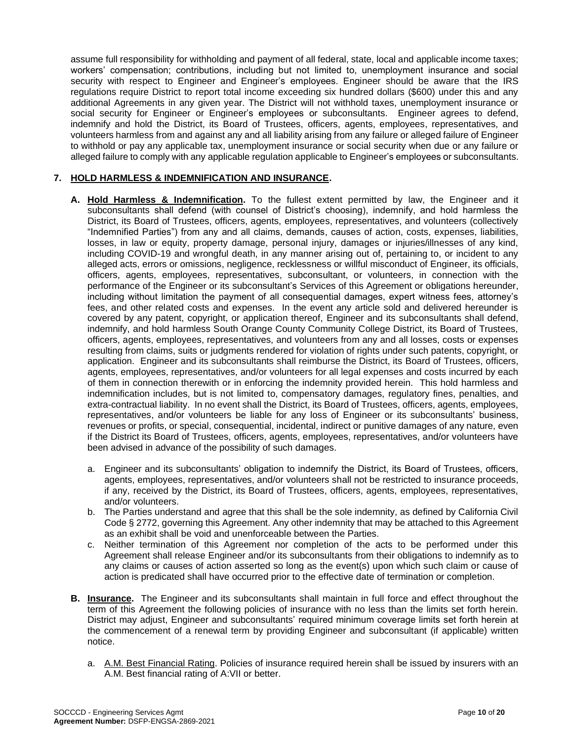assume full responsibility for withholding and payment of all federal, state, local and applicable income taxes; workers' compensation; contributions, including but not limited to, unemployment insurance and social security with respect to Engineer and Engineer's employees. Engineer should be aware that the IRS regulations require District to report total income exceeding six hundred dollars (\$600) under this and any additional Agreements in any given year. The District will not withhold taxes, unemployment insurance or social security for Engineer or Engineer's employees or subconsultants. Engineer agrees to defend, indemnify and hold the District, its Board of Trustees, officers, agents, employees, representatives, and volunteers harmless from and against any and all liability arising from any failure or alleged failure of Engineer to withhold or pay any applicable tax, unemployment insurance or social security when due or any failure or alleged failure to comply with any applicable regulation applicable to Engineer's employees or subconsultants.

#### **7. HOLD HARMLESS & INDEMNIFICATION AND INSURANCE.**

- **A. Hold Harmless & Indemnification.** To the fullest extent permitted by law, the Engineer and it subconsultants shall defend (with counsel of District's choosing), indemnify, and hold harmless the District, its Board of Trustees, officers, agents, employees, representatives, and volunteers (collectively "Indemnified Parties") from any and all claims, demands, causes of action, costs, expenses, liabilities, losses, in law or equity, property damage, personal injury, damages or injuries/illnesses of any kind, including COVID-19 and wrongful death, in any manner arising out of, pertaining to, or incident to any alleged acts, errors or omissions, negligence, recklessness or willful misconduct of Engineer, its officials, officers, agents, employees, representatives, subconsultant, or volunteers, in connection with the performance of the Engineer or its subconsultant's Services of this Agreement or obligations hereunder, including without limitation the payment of all consequential damages, expert witness fees, attorney's fees, and other related costs and expenses. In the event any article sold and delivered hereunder is covered by any patent, copyright, or application thereof, Engineer and its subconsultants shall defend, indemnify, and hold harmless South Orange County Community College District, its Board of Trustees, officers, agents, employees, representatives, and volunteers from any and all losses, costs or expenses resulting from claims, suits or judgments rendered for violation of rights under such patents, copyright, or application. Engineer and its subconsultants shall reimburse the District, its Board of Trustees, officers, agents, employees, representatives, and/or volunteers for all legal expenses and costs incurred by each of them in connection therewith or in enforcing the indemnity provided herein. This hold harmless and indemnification includes, but is not limited to, compensatory damages, regulatory fines, penalties, and extra-contractual liability. In no event shall the District, its Board of Trustees, officers, agents, employees, representatives, and/or volunteers be liable for any loss of Engineer or its subconsultants' business, revenues or profits, or special, consequential, incidental, indirect or punitive damages of any nature, even if the District its Board of Trustees, officers, agents, employees, representatives, and/or volunteers have been advised in advance of the possibility of such damages.
	- a. Engineer and its subconsultants' obligation to indemnify the District, its Board of Trustees, officers, agents, employees, representatives, and/or volunteers shall not be restricted to insurance proceeds, if any, received by the District, its Board of Trustees, officers, agents, employees, representatives, and/or volunteers.
	- b. The Parties understand and agree that this shall be the sole indemnity, as defined by California Civil Code § 2772, governing this Agreement. Any other indemnity that may be attached to this Agreement as an exhibit shall be void and unenforceable between the Parties.
	- c. Neither termination of this Agreement nor completion of the acts to be performed under this Agreement shall release Engineer and/or its subconsultants from their obligations to indemnify as to any claims or causes of action asserted so long as the event(s) upon which such claim or cause of action is predicated shall have occurred prior to the effective date of termination or completion.
- **B. Insurance.** The Engineer and its subconsultants shall maintain in full force and effect throughout the term of this Agreement the following policies of insurance with no less than the limits set forth herein. District may adjust, Engineer and subconsultants' required minimum coverage limits set forth herein at the commencement of a renewal term by providing Engineer and subconsultant (if applicable) written notice.
	- a. A.M. Best Financial Rating. Policies of insurance required herein shall be issued by insurers with an A.M. Best financial rating of A:VII or better.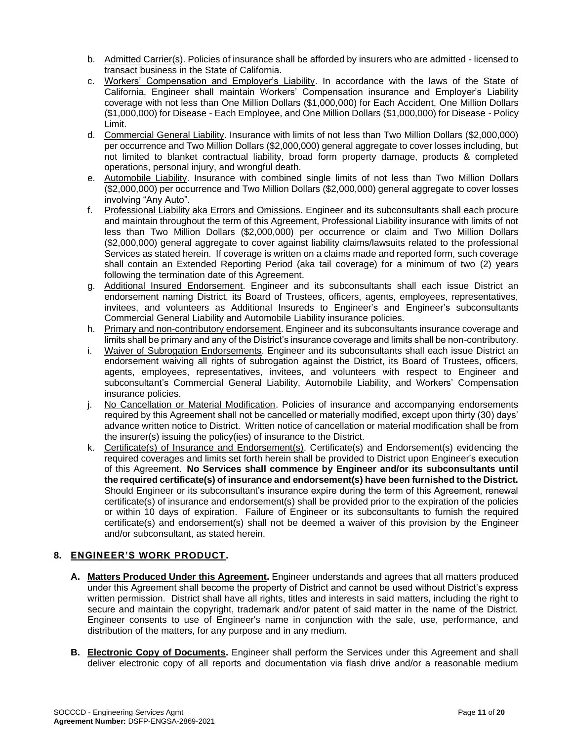- b. Admitted Carrier(s). Policies of insurance shall be afforded by insurers who are admitted licensed to transact business in the State of California.
- c. Workers' Compensation and Employer's Liability. In accordance with the laws of the State of California, Engineer shall maintain Workers' Compensation insurance and Employer's Liability coverage with not less than One Million Dollars (\$1,000,000) for Each Accident, One Million Dollars (\$1,000,000) for Disease - Each Employee, and One Million Dollars (\$1,000,000) for Disease - Policy Limit.
- d. Commercial General Liability. Insurance with limits of not less than Two Million Dollars (\$2,000,000) per occurrence and Two Million Dollars (\$2,000,000) general aggregate to cover losses including, but not limited to blanket contractual liability, broad form property damage, products & completed operations, personal injury, and wrongful death.
- e. Automobile Liability. Insurance with combined single limits of not less than Two Million Dollars (\$2,000,000) per occurrence and Two Million Dollars (\$2,000,000) general aggregate to cover losses involving "Any Auto".
- f. Professional Liability aka Errors and Omissions. Engineer and its subconsultants shall each procure and maintain throughout the term of this Agreement, Professional Liability insurance with limits of not less than Two Million Dollars (\$2,000,000) per occurrence or claim and Two Million Dollars (\$2,000,000) general aggregate to cover against liability claims/lawsuits related to the professional Services as stated herein. If coverage is written on a claims made and reported form, such coverage shall contain an Extended Reporting Period (aka tail coverage) for a minimum of two (2) years following the termination date of this Agreement.
- g. Additional Insured Endorsement. Engineer and its subconsultants shall each issue District an endorsement naming District, its Board of Trustees, officers, agents, employees, representatives, invitees, and volunteers as Additional Insureds to Engineer's and Engineer's subconsultants Commercial General Liability and Automobile Liability insurance policies.
- h. Primary and non-contributory endorsement. Engineer and its subconsultants insurance coverage and limits shall be primary and any of the District's insurance coverage and limits shall be non-contributory.
- i. Waiver of Subrogation Endorsements. Engineer and its subconsultants shall each issue District an endorsement waiving all rights of subrogation against the District, its Board of Trustees, officers, agents, employees, representatives, invitees, and volunteers with respect to Engineer and subconsultant's Commercial General Liability, Automobile Liability, and Workers' Compensation insurance policies.
- j. No Cancellation or Material Modification. Policies of insurance and accompanying endorsements required by this Agreement shall not be cancelled or materially modified, except upon thirty (30) days' advance written notice to District. Written notice of cancellation or material modification shall be from the insurer(s) issuing the policy(ies) of insurance to the District.
- k. Certificate(s) of Insurance and Endorsement(s). Certificate(s) and Endorsement(s) evidencing the required coverages and limits set forth herein shall be provided to District upon Engineer's execution of this Agreement. **No Services shall commence by Engineer and/or its subconsultants until the required certificate(s) of insurance and endorsement(s) have been furnished to the District.** Should Engineer or its subconsultant's insurance expire during the term of this Agreement, renewal certificate(s) of insurance and endorsement(s) shall be provided prior to the expiration of the policies or within 10 days of expiration. Failure of Engineer or its subconsultants to furnish the required certificate(s) and endorsement(s) shall not be deemed a waiver of this provision by the Engineer and/or subconsultant, as stated herein.

#### **8. ENGINEER'S WORK PRODUCT.**

- **A. Matters Produced Under this Agreement.** Engineer understands and agrees that all matters produced under this Agreement shall become the property of District and cannot be used without District's express written permission. District shall have all rights, titles and interests in said matters, including the right to secure and maintain the copyright, trademark and/or patent of said matter in the name of the District. Engineer consents to use of Engineer's name in conjunction with the sale, use, performance, and distribution of the matters, for any purpose and in any medium.
- **B. Electronic Copy of Documents.** Engineer shall perform the Services under this Agreement and shall deliver electronic copy of all reports and documentation via flash drive and/or a reasonable medium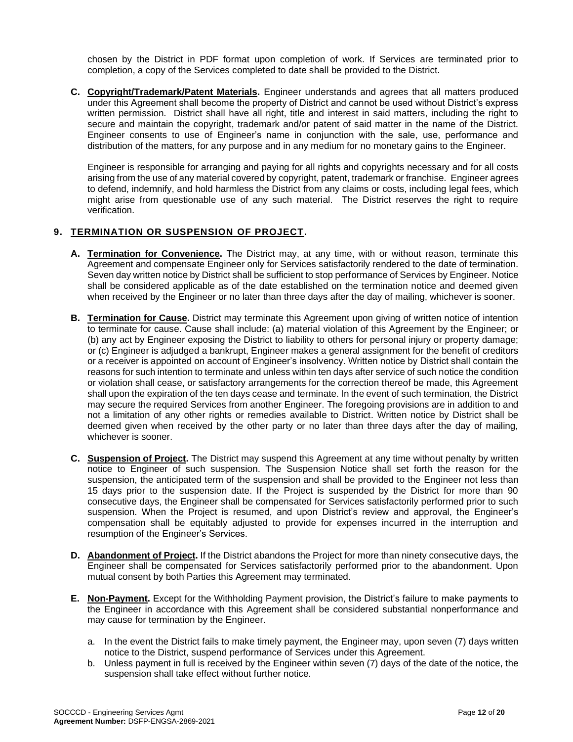chosen by the District in PDF format upon completion of work. If Services are terminated prior to completion, a copy of the Services completed to date shall be provided to the District.

**C. Copyright/Trademark/Patent Materials.** Engineer understands and agrees that all matters produced under this Agreement shall become the property of District and cannot be used without District's express written permission. District shall have all right, title and interest in said matters, including the right to secure and maintain the copyright, trademark and/or patent of said matter in the name of the District. Engineer consents to use of Engineer's name in conjunction with the sale, use, performance and distribution of the matters, for any purpose and in any medium for no monetary gains to the Engineer.

Engineer is responsible for arranging and paying for all rights and copyrights necessary and for all costs arising from the use of any material covered by copyright, patent, trademark or franchise. Engineer agrees to defend, indemnify, and hold harmless the District from any claims or costs, including legal fees, which might arise from questionable use of any such material. The District reserves the right to require verification.

#### **9. TERMINATION OR SUSPENSION OF PROJECT.**

- **A. Termination for Convenience.** The District may, at any time, with or without reason, terminate this Agreement and compensate Engineer only for Services satisfactorily rendered to the date of termination. Seven day written notice by District shall be sufficient to stop performance of Services by Engineer. Notice shall be considered applicable as of the date established on the termination notice and deemed given when received by the Engineer or no later than three days after the day of mailing, whichever is sooner.
- **B. Termination for Cause.** District may terminate this Agreement upon giving of written notice of intention to terminate for cause. Cause shall include: (a) material violation of this Agreement by the Engineer; or (b) any act by Engineer exposing the District to liability to others for personal injury or property damage; or (c) Engineer is adjudged a bankrupt, Engineer makes a general assignment for the benefit of creditors or a receiver is appointed on account of Engineer's insolvency. Written notice by District shall contain the reasons for such intention to terminate and unless within ten days after service of such notice the condition or violation shall cease, or satisfactory arrangements for the correction thereof be made, this Agreement shall upon the expiration of the ten days cease and terminate. In the event of such termination, the District may secure the required Services from another Engineer. The foregoing provisions are in addition to and not a limitation of any other rights or remedies available to District. Written notice by District shall be deemed given when received by the other party or no later than three days after the day of mailing, whichever is sooner.
- **C. Suspension of Project.** The District may suspend this Agreement at any time without penalty by written notice to Engineer of such suspension. The Suspension Notice shall set forth the reason for the suspension, the anticipated term of the suspension and shall be provided to the Engineer not less than 15 days prior to the suspension date. If the Project is suspended by the District for more than 90 consecutive days, the Engineer shall be compensated for Services satisfactorily performed prior to such suspension. When the Project is resumed, and upon District's review and approval, the Engineer's compensation shall be equitably adjusted to provide for expenses incurred in the interruption and resumption of the Engineer's Services.
- **D. Abandonment of Project.** If the District abandons the Project for more than ninety consecutive days, the Engineer shall be compensated for Services satisfactorily performed prior to the abandonment. Upon mutual consent by both Parties this Agreement may terminated.
- **E. Non-Payment.** Except for the Withholding Payment provision, the District's failure to make payments to the Engineer in accordance with this Agreement shall be considered substantial nonperformance and may cause for termination by the Engineer.
	- a. In the event the District fails to make timely payment, the Engineer may, upon seven (7) days written notice to the District, suspend performance of Services under this Agreement.
	- b. Unless payment in full is received by the Engineer within seven (7) days of the date of the notice, the suspension shall take effect without further notice.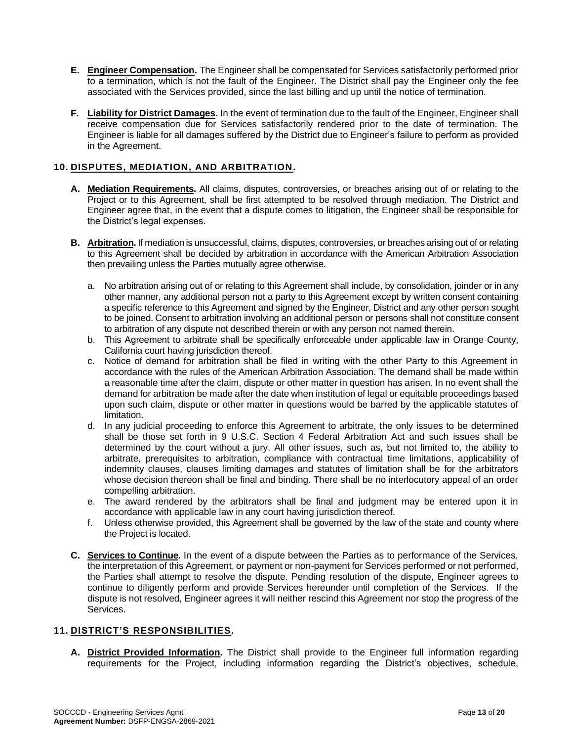- **E. Engineer Compensation.** The Engineer shall be compensated for Services satisfactorily performed prior to a termination, which is not the fault of the Engineer. The District shall pay the Engineer only the fee associated with the Services provided, since the last billing and up until the notice of termination.
- **F. Liability for District Damages.** In the event of termination due to the fault of the Engineer, Engineer shall receive compensation due for Services satisfactorily rendered prior to the date of termination. The Engineer is liable for all damages suffered by the District due to Engineer's failure to perform as provided in the Agreement.

#### **10. DISPUTES, MEDIATION, AND ARBITRATION.**

- **A. Mediation Requirements.** All claims, disputes, controversies, or breaches arising out of or relating to the Project or to this Agreement, shall be first attempted to be resolved through mediation. The District and Engineer agree that, in the event that a dispute comes to litigation, the Engineer shall be responsible for the District's legal expenses.
- **B. Arbitration.**If mediation is unsuccessful, claims, disputes, controversies, or breaches arising out of or relating to this Agreement shall be decided by arbitration in accordance with the American Arbitration Association then prevailing unless the Parties mutually agree otherwise.
	- a. No arbitration arising out of or relating to this Agreement shall include, by consolidation, joinder or in any other manner, any additional person not a party to this Agreement except by written consent containing a specific reference to this Agreement and signed by the Engineer, District and any other person sought to be joined. Consent to arbitration involving an additional person or persons shall not constitute consent to arbitration of any dispute not described therein or with any person not named therein.
	- b. This Agreement to arbitrate shall be specifically enforceable under applicable law in Orange County, California court having jurisdiction thereof.
	- c. Notice of demand for arbitration shall be filed in writing with the other Party to this Agreement in accordance with the rules of the American Arbitration Association. The demand shall be made within a reasonable time after the claim, dispute or other matter in question has arisen. In no event shall the demand for arbitration be made after the date when institution of legal or equitable proceedings based upon such claim, dispute or other matter in questions would be barred by the applicable statutes of limitation.
	- d. In any judicial proceeding to enforce this Agreement to arbitrate, the only issues to be determined shall be those set forth in 9 U.S.C. Section 4 Federal Arbitration Act and such issues shall be determined by the court without a jury. All other issues, such as, but not limited to, the ability to arbitrate, prerequisites to arbitration, compliance with contractual time limitations, applicability of indemnity clauses, clauses limiting damages and statutes of limitation shall be for the arbitrators whose decision thereon shall be final and binding. There shall be no interlocutory appeal of an order compelling arbitration.
	- e. The award rendered by the arbitrators shall be final and judgment may be entered upon it in accordance with applicable law in any court having jurisdiction thereof.
	- f. Unless otherwise provided, this Agreement shall be governed by the law of the state and county where the Project is located.
- **C. Services to Continue.** In the event of a dispute between the Parties as to performance of the Services, the interpretation of this Agreement, or payment or non-payment for Services performed or not performed, the Parties shall attempt to resolve the dispute. Pending resolution of the dispute, Engineer agrees to continue to diligently perform and provide Services hereunder until completion of the Services. If the dispute is not resolved, Engineer agrees it will neither rescind this Agreement nor stop the progress of the Services.

#### **11. DISTRICT'S RESPONSIBILITIES.**

**A. District Provided Information.** The District shall provide to the Engineer full information regarding requirements for the Project, including information regarding the District's objectives, schedule,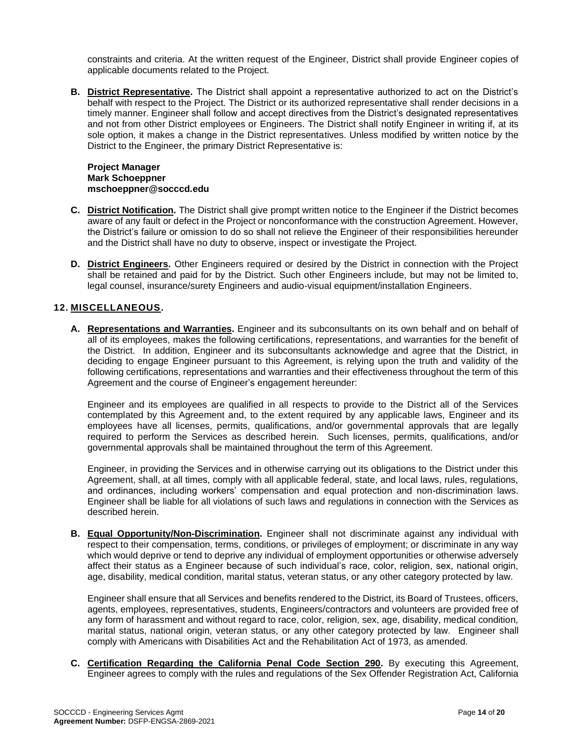constraints and criteria. At the written request of the Engineer, District shall provide Engineer copies of applicable documents related to the Project.

**B. District Representative.** The District shall appoint a representative authorized to act on the District's behalf with respect to the Project. The District or its authorized representative shall render decisions in a timely manner. Engineer shall follow and accept directives from the District's designated representatives and not from other District employees or Engineers. The District shall notify Engineer in writing if, at its sole option, it makes a change in the District representatives. Unless modified by written notice by the District to the Engineer, the primary District Representative is:

#### **Project Manager Mark Schoeppner mschoeppner@socccd.edu**

- **C. District Notification.** The District shall give prompt written notice to the Engineer if the District becomes aware of any fault or defect in the Project or nonconformance with the construction Agreement. However, the District's failure or omission to do so shall not relieve the Engineer of their responsibilities hereunder and the District shall have no duty to observe, inspect or investigate the Project.
- **D. District Engineers.** Other Engineers required or desired by the District in connection with the Project shall be retained and paid for by the District. Such other Engineers include, but may not be limited to, legal counsel, insurance/surety Engineers and audio-visual equipment/installation Engineers.

#### **12. MISCELLANEOUS.**

**A. Representations and Warranties.** Engineer and its subconsultants on its own behalf and on behalf of all of its employees, makes the following certifications, representations, and warranties for the benefit of the District. In addition, Engineer and its subconsultants acknowledge and agree that the District, in deciding to engage Engineer pursuant to this Agreement, is relying upon the truth and validity of the following certifications, representations and warranties and their effectiveness throughout the term of this Agreement and the course of Engineer's engagement hereunder:

Engineer and its employees are qualified in all respects to provide to the District all of the Services contemplated by this Agreement and, to the extent required by any applicable laws, Engineer and its employees have all licenses, permits, qualifications, and/or governmental approvals that are legally required to perform the Services as described herein. Such licenses, permits, qualifications, and/or governmental approvals shall be maintained throughout the term of this Agreement.

Engineer, in providing the Services and in otherwise carrying out its obligations to the District under this Agreement, shall, at all times, comply with all applicable federal, state, and local laws, rules, regulations, and ordinances, including workers' compensation and equal protection and non-discrimination laws. Engineer shall be liable for all violations of such laws and regulations in connection with the Services as described herein.

**B. Equal Opportunity/Non-Discrimination.** Engineer shall not discriminate against any individual with respect to their compensation, terms, conditions, or privileges of employment; or discriminate in any way which would deprive or tend to deprive any individual of employment opportunities or otherwise adversely affect their status as a Engineer because of such individual's race, color, religion, sex, national origin, age, disability, medical condition, marital status, veteran status, or any other category protected by law.

Engineer shall ensure that all Services and benefits rendered to the District, its Board of Trustees, officers, agents, employees, representatives, students, Engineers/contractors and volunteers are provided free of any form of harassment and without regard to race, color, religion, sex, age, disability, medical condition, marital status, national origin, veteran status, or any other category protected by law. Engineer shall comply with Americans with Disabilities Act and the Rehabilitation Act of 1973, as amended.

**C. Certification Regarding the California Penal Code Section 290.** By executing this Agreement, Engineer agrees to comply with the rules and regulations of the Sex Offender Registration Act, California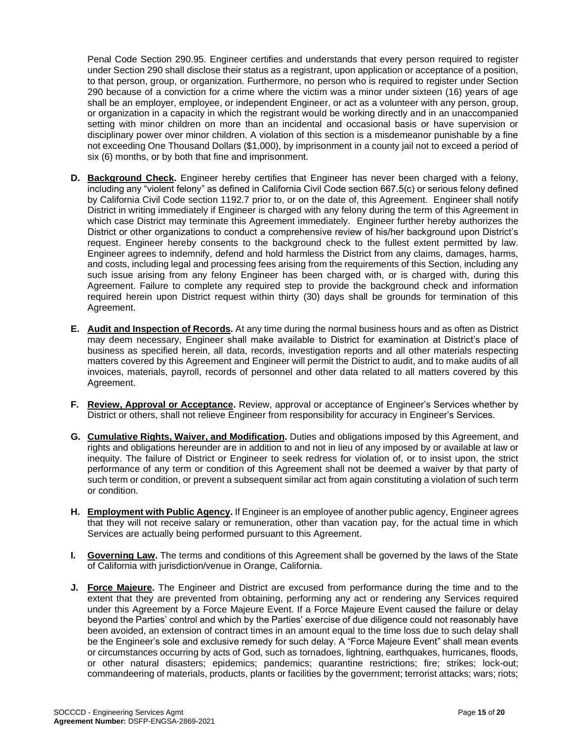Penal Code Section 290.95. Engineer certifies and understands that every person required to register under Section 290 shall disclose their status as a registrant, upon application or acceptance of a position, to that person, group, or organization. Furthermore, no person who is required to register under Section 290 because of a conviction for a crime where the victim was a minor under sixteen (16) years of age shall be an employer, employee, or independent Engineer, or act as a volunteer with any person, group, or organization in a capacity in which the registrant would be working directly and in an unaccompanied setting with minor children on more than an incidental and occasional basis or have supervision or disciplinary power over minor children. A violation of this section is a misdemeanor punishable by a fine not exceeding One Thousand Dollars (\$1,000), by imprisonment in a county jail not to exceed a period of six (6) months, or by both that fine and imprisonment.

- **D. Background Check.** Engineer hereby certifies that Engineer has never been charged with a felony, including any "violent felony" as defined in California Civil Code section 667.5(c) or serious felony defined by California Civil Code section 1192.7 prior to, or on the date of, this Agreement. Engineer shall notify District in writing immediately if Engineer is charged with any felony during the term of this Agreement in which case District may terminate this Agreement immediately. Engineer further hereby authorizes the District or other organizations to conduct a comprehensive review of his/her background upon District's request. Engineer hereby consents to the background check to the fullest extent permitted by law. Engineer agrees to indemnify, defend and hold harmless the District from any claims, damages, harms, and costs, including legal and processing fees arising from the requirements of this Section, including any such issue arising from any felony Engineer has been charged with, or is charged with, during this Agreement. Failure to complete any required step to provide the background check and information required herein upon District request within thirty (30) days shall be grounds for termination of this Agreement.
- **E. Audit and Inspection of Records.** At any time during the normal business hours and as often as District may deem necessary, Engineer shall make available to District for examination at District's place of business as specified herein, all data, records, investigation reports and all other materials respecting matters covered by this Agreement and Engineer will permit the District to audit, and to make audits of all invoices, materials, payroll, records of personnel and other data related to all matters covered by this Agreement.
- **F. Review, Approval or Acceptance.** Review, approval or acceptance of Engineer's Services whether by District or others, shall not relieve Engineer from responsibility for accuracy in Engineer's Services.
- **G. Cumulative Rights, Waiver, and Modification.** Duties and obligations imposed by this Agreement, and rights and obligations hereunder are in addition to and not in lieu of any imposed by or available at law or inequity. The failure of District or Engineer to seek redress for violation of, or to insist upon, the strict performance of any term or condition of this Agreement shall not be deemed a waiver by that party of such term or condition, or prevent a subsequent similar act from again constituting a violation of such term or condition.
- **H. Employment with Public Agency.** If Engineer is an employee of another public agency, Engineer agrees that they will not receive salary or remuneration, other than vacation pay, for the actual time in which Services are actually being performed pursuant to this Agreement.
- **I. Governing Law.** The terms and conditions of this Agreement shall be governed by the laws of the State of California with jurisdiction/venue in Orange, California.
- **J. Force Majeure.** The Engineer and District are excused from performance during the time and to the extent that they are prevented from obtaining, performing any act or rendering any Services required under this Agreement by a Force Majeure Event. If a Force Majeure Event caused the failure or delay beyond the Parties' control and which by the Parties' exercise of due diligence could not reasonably have been avoided, an extension of contract times in an amount equal to the time loss due to such delay shall be the Engineer's sole and exclusive remedy for such delay. A "Force Majeure Event" shall mean events or circumstances occurring by acts of God, such as tornadoes, lightning, earthquakes, hurricanes, floods, or other natural disasters; epidemics; pandemics; quarantine restrictions; fire; strikes; lock-out; commandeering of materials, products, plants or facilities by the government; terrorist attacks; wars; riots;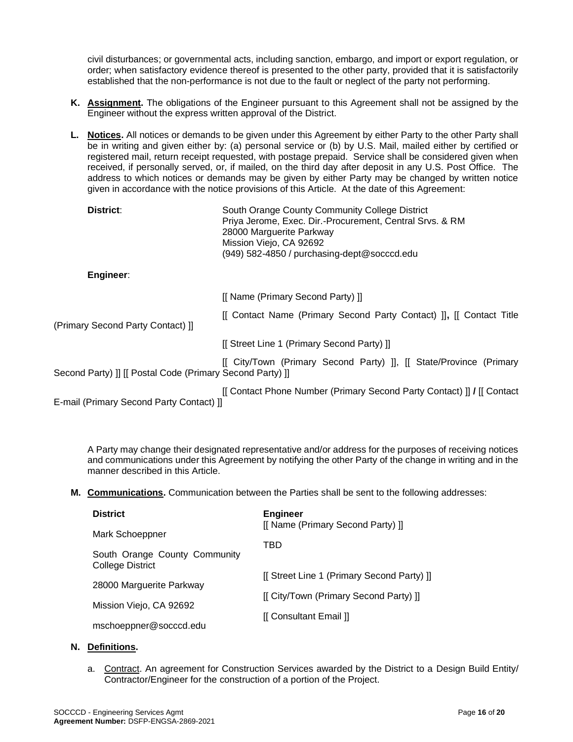civil disturbances; or governmental acts, including sanction, embargo, and import or export regulation, or order; when satisfactory evidence thereof is presented to the other party, provided that it is satisfactorily established that the non-performance is not due to the fault or neglect of the party not performing.

- **K. Assignment.** The obligations of the Engineer pursuant to this Agreement shall not be assigned by the Engineer without the express written approval of the District.
- **L. Notices.** All notices or demands to be given under this Agreement by either Party to the other Party shall be in writing and given either by: (a) personal service or (b) by U.S. Mail, mailed either by certified or registered mail, return receipt requested, with postage prepaid. Service shall be considered given when received, if personally served, or, if mailed, on the third day after deposit in any U.S. Post Office. The address to which notices or demands may be given by either Party may be changed by written notice given in accordance with the notice provisions of this Article. At the date of this Agreement:

| District:                                                 | South Orange County Community College District<br>Priya Jerome, Exec. Dir.-Procurement, Central Srvs. & RM<br>28000 Marguerite Parkway<br>Mission Viejo, CA 92692<br>(949) 582-4850 / purchasing-dept@socccd.edu |
|-----------------------------------------------------------|------------------------------------------------------------------------------------------------------------------------------------------------------------------------------------------------------------------|
| Engineer:                                                 |                                                                                                                                                                                                                  |
|                                                           | [[ Name (Primary Second Party) ]]                                                                                                                                                                                |
| (Primary Second Party Contact) ]                          | [[ Contact Name (Primary Second Party Contact) ]], [[ Contact Title                                                                                                                                              |
|                                                           | [[ Street Line 1 (Primary Second Party) ]]                                                                                                                                                                       |
| Second Party) ]] [[ Postal Code (Primary Second Party) ]] | [[ City/Town (Primary Second Party) ]], [[ State/Province (Primary                                                                                                                                               |
| E-mail (Primary Second Party Contact) ]]                  | [[ Contact Phone Number (Primary Second Party Contact) ] / [[ Contact]                                                                                                                                           |

A Party may change their designated representative and/or address for the purposes of receiving notices and communications under this Agreement by notifying the other Party of the change in writing and in the manner described in this Article.

**M. Communications.** Communication between the Parties shall be sent to the following addresses:

| <b>District</b>                                   | <b>Engineer</b><br>[[ Name (Primary Second Party) ]] |
|---------------------------------------------------|------------------------------------------------------|
| Mark Schoeppner                                   | TBD                                                  |
| South Orange County Community<br>College District |                                                      |
| 28000 Marguerite Parkway                          | [[ Street Line 1 (Primary Second Party) ]]           |
|                                                   | [[ City/Town (Primary Second Party) ]]               |
| Mission Viejo, CA 92692                           | [[ Consultant Email ]]                               |
| mschoeppner@socccd.edu                            |                                                      |

#### **N. Definitions.**

a. Contract. An agreement for Construction Services awarded by the District to a Design Build Entity/ Contractor/Engineer for the construction of a portion of the Project.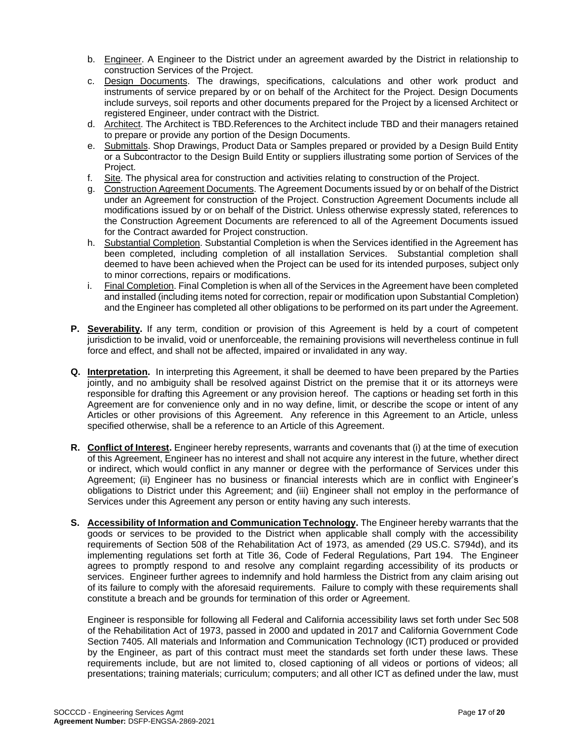- b. Engineer. A Engineer to the District under an agreement awarded by the District in relationship to construction Services of the Project.
- c. Design Documents. The drawings, specifications, calculations and other work product and instruments of service prepared by or on behalf of the Architect for the Project. Design Documents include surveys, soil reports and other documents prepared for the Project by a licensed Architect or registered Engineer, under contract with the District.
- d. Architect. The Architect is TBD.References to the Architect include TBD and their managers retained to prepare or provide any portion of the Design Documents.
- e. Submittals. Shop Drawings, Product Data or Samples prepared or provided by a Design Build Entity or a Subcontractor to the Design Build Entity or suppliers illustrating some portion of Services of the Project.
- f. Site. The physical area for construction and activities relating to construction of the Project.
- g. Construction Agreement Documents. The Agreement Documents issued by or on behalf of the District under an Agreement for construction of the Project. Construction Agreement Documents include all modifications issued by or on behalf of the District. Unless otherwise expressly stated, references to the Construction Agreement Documents are referenced to all of the Agreement Documents issued for the Contract awarded for Project construction.
- h. Substantial Completion. Substantial Completion is when the Services identified in the Agreement has been completed, including completion of all installation Services. Substantial completion shall deemed to have been achieved when the Project can be used for its intended purposes, subject only to minor corrections, repairs or modifications.
- i. Final Completion. Final Completion is when all of the Services in the Agreement have been completed and installed (including items noted for correction, repair or modification upon Substantial Completion) and the Engineer has completed all other obligations to be performed on its part under the Agreement.
- **P. Severability.** If any term, condition or provision of this Agreement is held by a court of competent jurisdiction to be invalid, void or unenforceable, the remaining provisions will nevertheless continue in full force and effect, and shall not be affected, impaired or invalidated in any way.
- **Q. Interpretation.** In interpreting this Agreement, it shall be deemed to have been prepared by the Parties jointly, and no ambiguity shall be resolved against District on the premise that it or its attorneys were responsible for drafting this Agreement or any provision hereof. The captions or heading set forth in this Agreement are for convenience only and in no way define, limit, or describe the scope or intent of any Articles or other provisions of this Agreement. Any reference in this Agreement to an Article, unless specified otherwise, shall be a reference to an Article of this Agreement.
- **R. Conflict of Interest.** Engineer hereby represents, warrants and covenants that (i) at the time of execution of this Agreement, Engineer has no interest and shall not acquire any interest in the future, whether direct or indirect, which would conflict in any manner or degree with the performance of Services under this Agreement; (ii) Engineer has no business or financial interests which are in conflict with Engineer's obligations to District under this Agreement; and (iii) Engineer shall not employ in the performance of Services under this Agreement any person or entity having any such interests.
- **S. Accessibility of Information and Communication Technology.** The Engineer hereby warrants that the goods or services to be provided to the District when applicable shall comply with the accessibility requirements of Section 508 of the Rehabilitation Act of 1973, as amended (29 US.C. S794d), and its implementing regulations set forth at Title 36, Code of Federal Regulations, Part 194. The Engineer agrees to promptly respond to and resolve any complaint regarding accessibility of its products or services. Engineer further agrees to indemnify and hold harmless the District from any claim arising out of its failure to comply with the aforesaid requirements. Failure to comply with these requirements shall constitute a breach and be grounds for termination of this order or Agreement.

Engineer is responsible for following all Federal and California accessibility laws set forth under Sec 508 of the Rehabilitation Act of 1973, passed in 2000 and updated in 2017 and California Government Code Section 7405. All materials and Information and Communication Technology (ICT) produced or provided by the Engineer, as part of this contract must meet the standards set forth under these laws. These requirements include, but are not limited to, closed captioning of all videos or portions of videos; all presentations; training materials; curriculum; computers; and all other ICT as defined under the law, must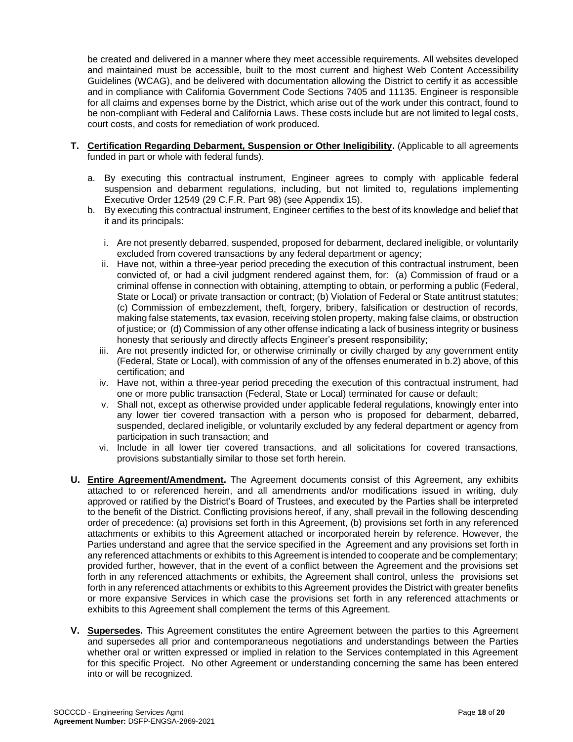be created and delivered in a manner where they meet accessible requirements. All websites developed and maintained must be accessible, built to the most current and highest Web Content Accessibility Guidelines (WCAG), and be delivered with documentation allowing the District to certify it as accessible and in compliance with California Government Code Sections 7405 and 11135. Engineer is responsible for all claims and expenses borne by the District, which arise out of the work under this contract, found to be non-compliant with Federal and California Laws. These costs include but are not limited to legal costs, court costs, and costs for remediation of work produced.

- **T. Certification Regarding Debarment, Suspension or Other Ineligibility.** (Applicable to all agreements funded in part or whole with federal funds).
	- a. By executing this contractual instrument, Engineer agrees to comply with applicable federal suspension and debarment regulations, including, but not limited to, regulations implementing Executive Order 12549 (29 C.F.R. Part 98) (see Appendix 15).
	- b. By executing this contractual instrument, Engineer certifies to the best of its knowledge and belief that it and its principals:
		- i. Are not presently debarred, suspended, proposed for debarment, declared ineligible, or voluntarily excluded from covered transactions by any federal department or agency;
		- ii. Have not, within a three-year period preceding the execution of this contractual instrument, been convicted of, or had a civil judgment rendered against them, for: (a) Commission of fraud or a criminal offense in connection with obtaining, attempting to obtain, or performing a public (Federal, State or Local) or private transaction or contract; (b) Violation of Federal or State antitrust statutes; (c) Commission of embezzlement, theft, forgery, bribery, falsification or destruction of records, making false statements, tax evasion, receiving stolen property, making false claims, or obstruction of justice; or (d) Commission of any other offense indicating a lack of business integrity or business honesty that seriously and directly affects Engineer's present responsibility;
		- iii. Are not presently indicted for, or otherwise criminally or civilly charged by any government entity (Federal, State or Local), with commission of any of the offenses enumerated in b.2) above, of this certification; and
		- iv. Have not, within a three-year period preceding the execution of this contractual instrument, had one or more public transaction (Federal, State or Local) terminated for cause or default;
		- v. Shall not, except as otherwise provided under applicable federal regulations, knowingly enter into any lower tier covered transaction with a person who is proposed for debarment, debarred, suspended, declared ineligible, or voluntarily excluded by any federal department or agency from participation in such transaction; and
		- vi. Include in all lower tier covered transactions, and all solicitations for covered transactions, provisions substantially similar to those set forth herein.
- **U. Entire Agreement/Amendment.** The Agreement documents consist of this Agreement, any exhibits attached to or referenced herein, and all amendments and/or modifications issued in writing, duly approved or ratified by the District's Board of Trustees, and executed by the Parties shall be interpreted to the benefit of the District. Conflicting provisions hereof, if any, shall prevail in the following descending order of precedence: (a) provisions set forth in this Agreement, (b) provisions set forth in any referenced attachments or exhibits to this Agreement attached or incorporated herein by reference. However, the Parties understand and agree that the service specified in the Agreement and any provisions set forth in any referenced attachments or exhibits to this Agreement is intended to cooperate and be complementary; provided further, however, that in the event of a conflict between the Agreement and the provisions set forth in any referenced attachments or exhibits, the Agreement shall control, unless the provisions set forth in any referenced attachments or exhibits to this Agreement provides the District with greater benefits or more expansive Services in which case the provisions set forth in any referenced attachments or exhibits to this Agreement shall complement the terms of this Agreement.
- **V. Supersedes.** This Agreement constitutes the entire Agreement between the parties to this Agreement and supersedes all prior and contemporaneous negotiations and understandings between the Parties whether oral or written expressed or implied in relation to the Services contemplated in this Agreement for this specific Project. No other Agreement or understanding concerning the same has been entered into or will be recognized.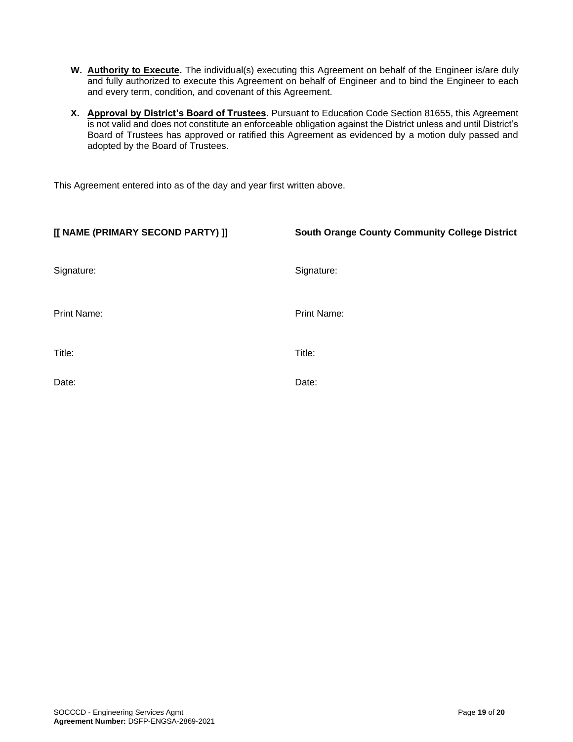- **W. Authority to Execute.** The individual(s) executing this Agreement on behalf of the Engineer is/are duly and fully authorized to execute this Agreement on behalf of Engineer and to bind the Engineer to each and every term, condition, and covenant of this Agreement.
- **X. Approval by District's Board of Trustees.** Pursuant to Education Code Section 81655, this Agreement is not valid and does not constitute an enforceable obligation against the District unless and until District's Board of Trustees has approved or ratified this Agreement as evidenced by a motion duly passed and adopted by the Board of Trustees.

This Agreement entered into as of the day and year first written above.

| [[ NAME (PRIMARY SECOND PARTY) ]] | <b>South Orange County Community College District</b> |
|-----------------------------------|-------------------------------------------------------|
| Signature:                        | Signature:                                            |
| Print Name:                       | Print Name:                                           |
| Title:                            | Title:                                                |
| Date:                             | Date:                                                 |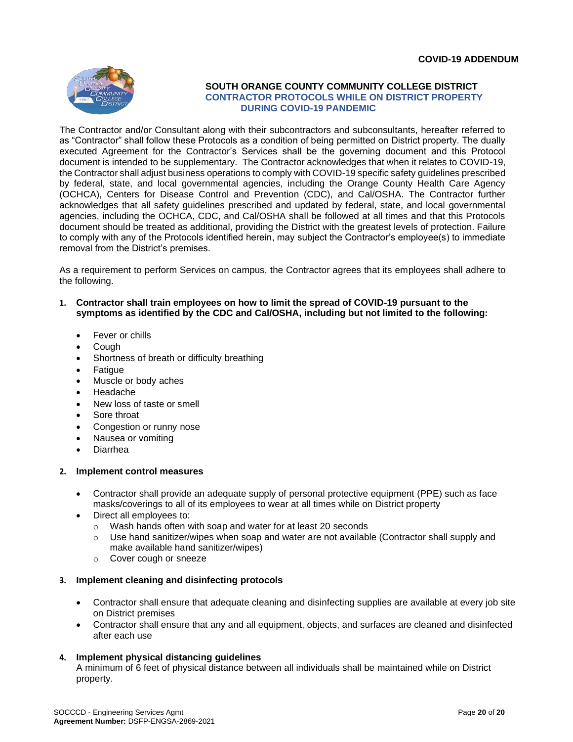

#### **SOUTH ORANGE COUNTY COMMUNITY COLLEGE DISTRICT CONTRACTOR PROTOCOLS WHILE ON DISTRICT PROPERTY DURING COVID-19 PANDEMIC**

The Contractor and/or Consultant along with their subcontractors and subconsultants, hereafter referred to as "Contractor" shall follow these Protocols as a condition of being permitted on District property. The dually executed Agreement for the Contractor's Services shall be the governing document and this Protocol document is intended to be supplementary. The Contractor acknowledges that when it relates to COVID-19, the Contractor shall adjust business operations to comply with COVID-19 specific safety guidelines prescribed by federal, state, and local governmental agencies, including the Orange County Health Care Agency (OCHCA), Centers for Disease Control and Prevention (CDC), and Cal/OSHA. The Contractor further acknowledges that all safety guidelines prescribed and updated by federal, state, and local governmental agencies, including the OCHCA, CDC, and Cal/OSHA shall be followed at all times and that this Protocols document should be treated as additional, providing the District with the greatest levels of protection. Failure to comply with any of the Protocols identified herein, may subject the Contractor's employee(s) to immediate removal from the District's premises.

As a requirement to perform Services on campus, the Contractor agrees that its employees shall adhere to the following.

- **1. Contractor shall train employees on how to limit the spread of COVID-19 pursuant to the symptoms as identified by the CDC and Cal/OSHA, including but not limited to the following:**
	- Fever or chills
	- Cough
	- Shortness of breath or difficulty breathing
	- Fatigue
	- Muscle or body aches
	- Headache
	- New loss of taste or smell
	- Sore throat
	- Congestion or runny nose
	- Nausea or vomiting
	- Diarrhea

#### **2. Implement control measures**

- Contractor shall provide an adequate supply of personal protective equipment (PPE) such as face masks/coverings to all of its employees to wear at all times while on District property
- Direct all employees to:
	- o Wash hands often with soap and water for at least 20 seconds
	- $\circ$  Use hand sanitizer/wipes when soap and water are not available (Contractor shall supply and make available hand sanitizer/wipes)
	- o Cover cough or sneeze

#### **3. Implement cleaning and disinfecting protocols**

- Contractor shall ensure that adequate cleaning and disinfecting supplies are available at every job site on District premises
- Contractor shall ensure that any and all equipment, objects, and surfaces are cleaned and disinfected after each use

#### **4. Implement physical distancing guidelines**

A minimum of 6 feet of physical distance between all individuals shall be maintained while on District property.